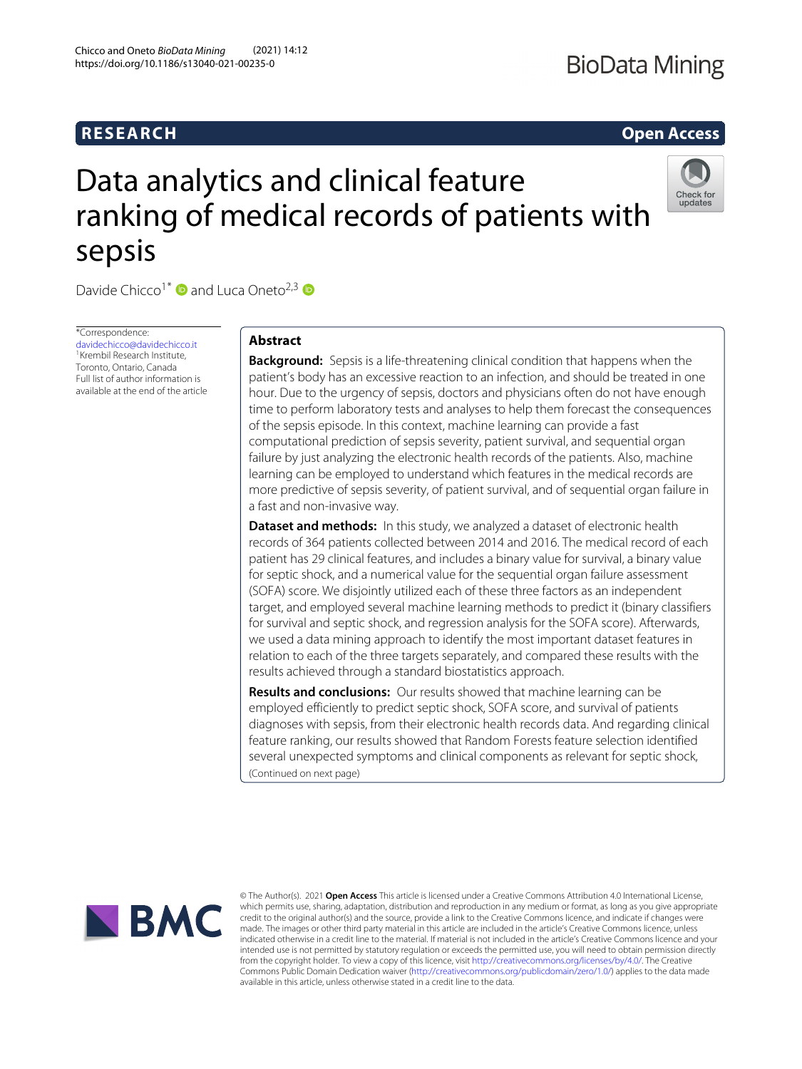# **RESEARCH Open Access**

# Data analytics and clinical feature ranking of medical records of patients with sepsis



Davide Chicco<sup>1\*</sup>  $\bullet$  and Luca Oneto<sup>2,3</sup>  $\bullet$ 

\*Correspondence: [davidechicco@davidechicco.it](mailto: davidechicco@davidechicco.it) 1Krembil Research Institute, Toronto, Ontario, Canada Full list of author information is available at the end of the article

# **Abstract**

**Background:** Sepsis is a life-threatening clinical condition that happens when the patient's body has an excessive reaction to an infection, and should be treated in one hour. Due to the urgency of sepsis, doctors and physicians often do not have enough time to perform laboratory tests and analyses to help them forecast the consequences of the sepsis episode. In this context, machine learning can provide a fast computational prediction of sepsis severity, patient survival, and sequential organ failure by just analyzing the electronic health records of the patients. Also, machine learning can be employed to understand which features in the medical records are more predictive of sepsis severity, of patient survival, and of sequential organ failure in a fast and non-invasive way.

**Dataset and methods:** In this study, we analyzed a dataset of electronic health records of 364 patients collected between 2014 and 2016. The medical record of each patient has 29 clinical features, and includes a binary value for survival, a binary value for septic shock, and a numerical value for the sequential organ failure assessment (SOFA) score. We disjointly utilized each of these three factors as an independent target, and employed several machine learning methods to predict it (binary classifiers for survival and septic shock, and regression analysis for the SOFA score). Afterwards, we used a data mining approach to identify the most important dataset features in relation to each of the three targets separately, and compared these results with the results achieved through a standard biostatistics approach.

**Results and conclusions:** Our results showed that machine learning can be employed efficiently to predict septic shock, SOFA score, and survival of patients diagnoses with sepsis, from their electronic health records data. And regarding clinical feature ranking, our results showed that Random Forests feature selection identified several unexpected symptoms and clinical components as relevant for septic shock, (Continued on next page)



© The Author(s). 2021 **Open Access** This article is licensed under a Creative Commons Attribution 4.0 International License, which permits use, sharing, adaptation, distribution and reproduction in any medium or format, as long as you give appropriate credit to the original author(s) and the source, provide a link to the Creative Commons licence, and indicate if changes were made. The images or other third party material in this article are included in the article's Creative Commons licence, unless indicated otherwise in a credit line to the material. If material is not included in the article's Creative Commons licence and your intended use is not permitted by statutory regulation or exceeds the permitted use, you will need to obtain permission directly from the copyright holder. To view a copy of this licence, visit [http://creativecommons.org/licenses/by/4.0/.](http://creativecommons.org/licenses/by/4.0/) The Creative Commons Public Domain Dedication waiver [\(http://creativecommons.org/publicdomain/zero/1.0/\)](http://creativecommons.org/publicdomain/zero/1.0/) applies to the data made available in this article, unless otherwise stated in a credit line to the data.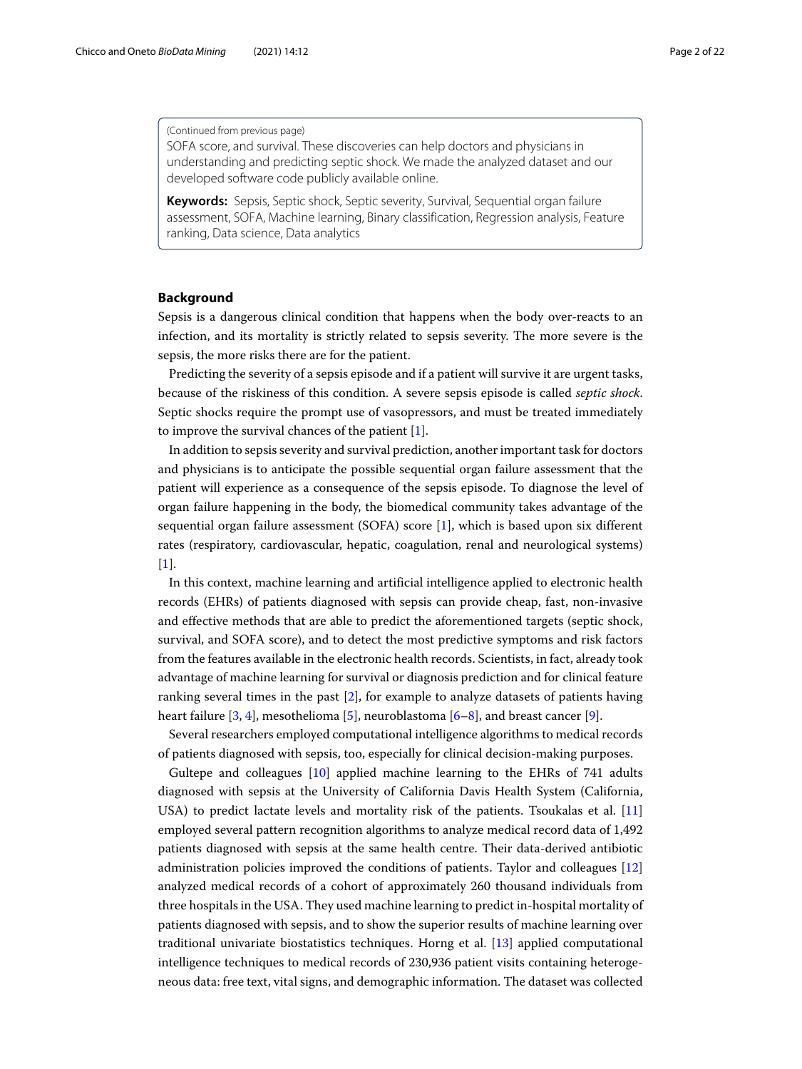(Continued from previous page)

SOFA score, and survival. These discoveries can help doctors and physicians in understanding and predicting septic shock. We made the analyzed dataset and our developed software code publicly available online.

**Keywords:** Sepsis, Septic shock, Septic severity, Survival, Sequential organ failure assessment, SOFA, Machine learning, Binary classification, Regression analysis, Feature ranking, Data science, Data analytics

# **Background**

Sepsis is a dangerous clinical condition that happens when the body over-reacts to an infection, and its mortality is strictly related to sepsis severity. The more severe is the sepsis, the more risks there are for the patient.

Predicting the severity of a sepsis episode and if a patient will survive it are urgent tasks, because of the riskiness of this condition. A severe sepsis episode is called *septic shock*. Septic shocks require the prompt use of vasopressors, and must be treated immediately to improve the survival chances of the patient [\[1\]](#page-18-0).

In addition to sepsis severity and survival prediction, another important task for doctors and physicians is to anticipate the possible sequential organ failure assessment that the patient will experience as a consequence of the sepsis episode. To diagnose the level of organ failure happening in the body, the biomedical community takes advantage of the sequential organ failure assessment (SOFA) score [\[1\]](#page-18-0), which is based upon six different rates (respiratory, cardiovascular, hepatic, coagulation, renal and neurological systems) [\[1\]](#page-18-0).

In this context, machine learning and artificial intelligence applied to electronic health records (EHRs) of patients diagnosed with sepsis can provide cheap, fast, non-invasive and effective methods that are able to predict the aforementioned targets (septic shock, survival, and SOFA score), and to detect the most predictive symptoms and risk factors from the features available in the electronic health records. Scientists, in fact, already took advantage of machine learning for survival or diagnosis prediction and for clinical feature ranking several times in the past [\[2\]](#page-18-1), for example to analyze datasets of patients having heart failure [\[3,](#page-18-2) [4\]](#page-18-3), mesothelioma [\[5\]](#page-18-4), neuroblastoma [\[6–](#page-18-5)[8\]](#page-18-6), and breast cancer [\[9\]](#page-18-7).

Several researchers employed computational intelligence algorithms to medical records of patients diagnosed with sepsis, too, especially for clinical decision-making purposes.

Gultepe and colleagues [\[10\]](#page-19-0) applied machine learning to the EHRs of 741 adults diagnosed with sepsis at the University of California Davis Health System (California, USA) to predict lactate levels and mortality risk of the patients. Tsoukalas et al. [\[11\]](#page-19-1) employed several pattern recognition algorithms to analyze medical record data of 1,492 patients diagnosed with sepsis at the same health centre. Their data-derived antibiotic administration policies improved the conditions of patients. Taylor and colleagues [\[12\]](#page-19-2) analyzed medical records of a cohort of approximately 260 thousand individuals from three hospitals in the USA. They used machine learning to predict in-hospital mortality of patients diagnosed with sepsis, and to show the superior results of machine learning over traditional univariate biostatistics techniques. Horng et al. [\[13\]](#page-19-3) applied computational intelligence techniques to medical records of 230,936 patient visits containing heterogeneous data: free text, vital signs, and demographic information. The dataset was collected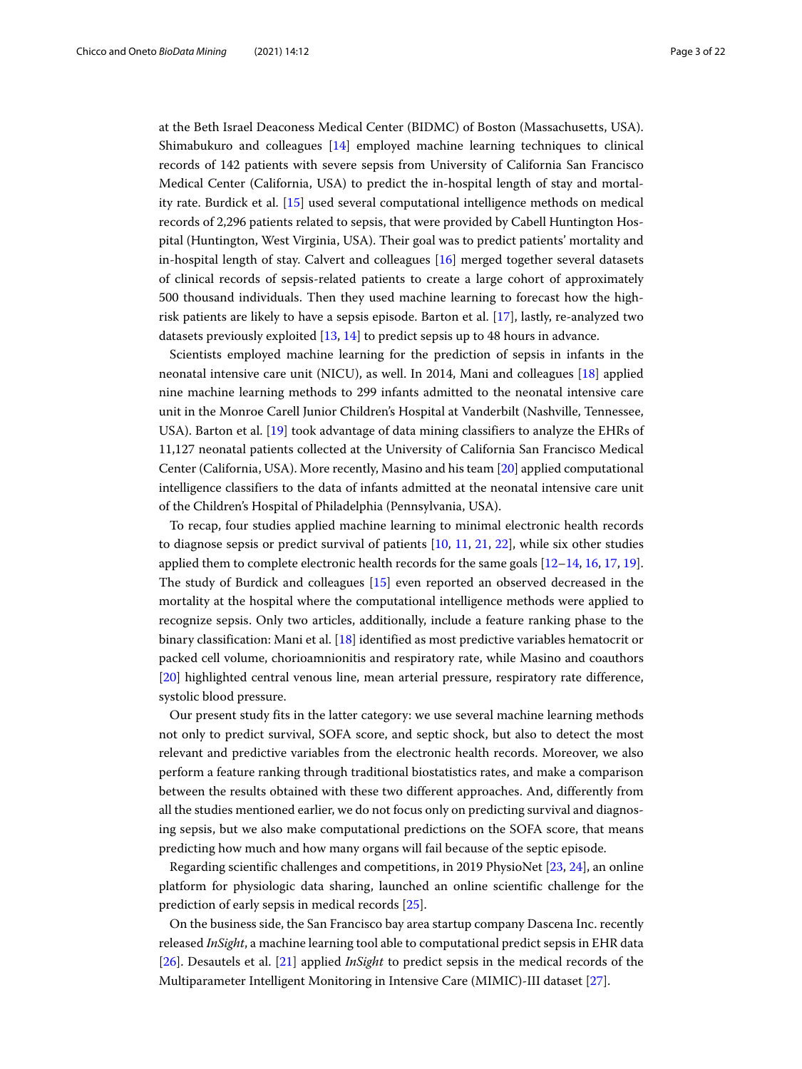at the Beth Israel Deaconess Medical Center (BIDMC) of Boston (Massachusetts, USA). Shimabukuro and colleagues [\[14\]](#page-19-4) employed machine learning techniques to clinical records of 142 patients with severe sepsis from University of California San Francisco Medical Center (California, USA) to predict the in-hospital length of stay and mortality rate. Burdick et al. [\[15\]](#page-19-5) used several computational intelligence methods on medical records of 2,296 patients related to sepsis, that were provided by Cabell Huntington Hospital (Huntington, West Virginia, USA). Their goal was to predict patients' mortality and in-hospital length of stay. Calvert and colleagues [\[16\]](#page-19-6) merged together several datasets of clinical records of sepsis-related patients to create a large cohort of approximately 500 thousand individuals. Then they used machine learning to forecast how the highrisk patients are likely to have a sepsis episode. Barton et al. [\[17\]](#page-19-7), lastly, re-analyzed two datasets previously exploited [\[13,](#page-19-3) [14\]](#page-19-4) to predict sepsis up to 48 hours in advance.

Scientists employed machine learning for the prediction of sepsis in infants in the neonatal intensive care unit (NICU), as well. In 2014, Mani and colleagues [\[18\]](#page-19-8) applied nine machine learning methods to 299 infants admitted to the neonatal intensive care unit in the Monroe Carell Junior Children's Hospital at Vanderbilt (Nashville, Tennessee, USA). Barton et al. [\[19\]](#page-19-9) took advantage of data mining classifiers to analyze the EHRs of 11,127 neonatal patients collected at the University of California San Francisco Medical Center (California, USA). More recently, Masino and his team [\[20\]](#page-19-10) applied computational intelligence classifiers to the data of infants admitted at the neonatal intensive care unit of the Children's Hospital of Philadelphia (Pennsylvania, USA).

To recap, four studies applied machine learning to minimal electronic health records to diagnose sepsis or predict survival of patients [\[10,](#page-19-0) [11,](#page-19-1) [21,](#page-19-11) [22\]](#page-19-12), while six other studies applied them to complete electronic health records for the same goals [\[12](#page-19-2)[–14,](#page-19-4) [16,](#page-19-6) [17,](#page-19-7) [19\]](#page-19-9). The study of Burdick and colleagues [\[15\]](#page-19-5) even reported an observed decreased in the mortality at the hospital where the computational intelligence methods were applied to recognize sepsis. Only two articles, additionally, include a feature ranking phase to the binary classification: Mani et al. [\[18\]](#page-19-8) identified as most predictive variables hematocrit or packed cell volume, chorioamnionitis and respiratory rate, while Masino and coauthors [\[20\]](#page-19-10) highlighted central venous line, mean arterial pressure, respiratory rate difference, systolic blood pressure.

Our present study fits in the latter category: we use several machine learning methods not only to predict survival, SOFA score, and septic shock, but also to detect the most relevant and predictive variables from the electronic health records. Moreover, we also perform a feature ranking through traditional biostatistics rates, and make a comparison between the results obtained with these two different approaches. And, differently from all the studies mentioned earlier, we do not focus only on predicting survival and diagnosing sepsis, but we also make computational predictions on the SOFA score, that means predicting how much and how many organs will fail because of the septic episode.

Regarding scientific challenges and competitions, in 2019 PhysioNet [\[23,](#page-19-13) [24\]](#page-19-14), an online platform for physiologic data sharing, launched an online scientific challenge for the prediction of early sepsis in medical records [\[25\]](#page-19-15).

On the business side, the San Francisco bay area startup company Dascena Inc. recently released *InSight*, a machine learning tool able to computational predict sepsis in EHR data [\[26\]](#page-19-16). Desautels et al. [\[21\]](#page-19-11) applied *InSight* to predict sepsis in the medical records of the Multiparameter Intelligent Monitoring in Intensive Care (MIMIC)-III dataset [\[27\]](#page-19-17).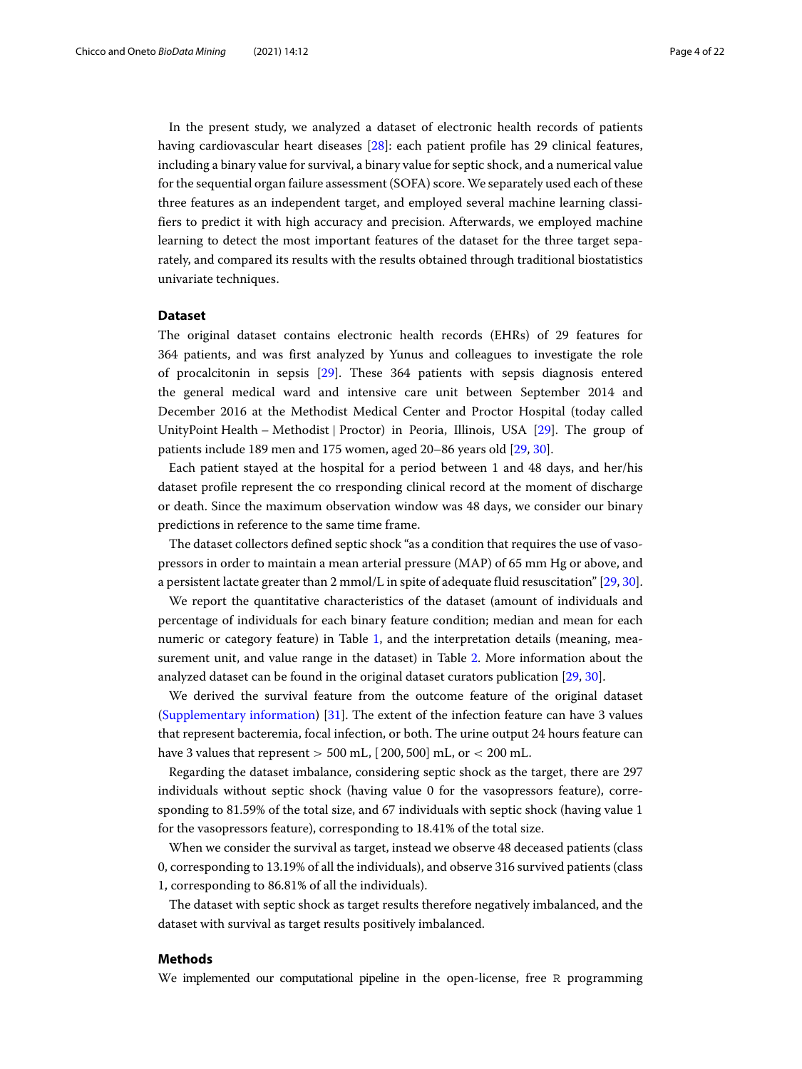In the present study, we analyzed a dataset of electronic health records of patients having cardiovascular heart diseases [\[28\]](#page-19-18): each patient profile has 29 clinical features, including a binary value for survival, a binary value for septic shock, and a numerical value for the sequential organ failure assessment (SOFA) score. We separately used each of these three features as an independent target, and employed several machine learning classifiers to predict it with high accuracy and precision. Afterwards, we employed machine learning to detect the most important features of the dataset for the three target separately, and compared its results with the results obtained through traditional biostatistics univariate techniques.

# <span id="page-3-0"></span>**Dataset**

The original dataset contains electronic health records (EHRs) of 29 features for 364 patients, and was first analyzed by Yunus and colleagues to investigate the role of procalcitonin in sepsis [\[29\]](#page-19-19). These 364 patients with sepsis diagnosis entered the general medical ward and intensive care unit between September 2014 and December 2016 at the Methodist Medical Center and Proctor Hospital (today called UnityPoint Health – Methodist | Proctor) in Peoria, Illinois, USA [\[29\]](#page-19-19). The group of patients include 189 men and 175 women, aged 20–86 years old [\[29,](#page-19-19) [30\]](#page-19-20).

Each patient stayed at the hospital for a period between 1 and 48 days, and her/his dataset profile represent the co rresponding clinical record at the moment of discharge or death. Since the maximum observation window was 48 days, we consider our binary predictions in reference to the same time frame.

The dataset collectors defined septic shock "as a condition that requires the use of vasopressors in order to maintain a mean arterial pressure (MAP) of 65 mm Hg or above, and a persistent lactate greater than 2 mmol/L in spite of adequate fluid resuscitation" [\[29,](#page-19-19) [30\]](#page-19-20).

We report the quantitative characteristics of the dataset (amount of individuals and percentage of individuals for each binary feature condition; median and mean for each numeric or category feature) in Table [1,](#page-4-0) and the interpretation details (meaning, measurement unit, and value range in the dataset) in Table [2.](#page-5-0) More information about the analyzed dataset can be found in the original dataset curators publication [\[29,](#page-19-19) [30\]](#page-19-20).

We derived the survival feature from the outcome feature of the original dataset [\(Supplementary information\)](#page-17-0) [\[31\]](#page-19-21). The extent of the infection feature can have 3 values that represent bacteremia, focal infection, or both. The urine output 24 hours feature can have 3 values that represent  $> 500$  mL,  $[200, 500]$  mL, or  $< 200$  mL.

Regarding the dataset imbalance, considering septic shock as the target, there are 297 individuals without septic shock (having value 0 for the vasopressors feature), corresponding to 81.59% of the total size, and 67 individuals with septic shock (having value 1 for the vasopressors feature), corresponding to 18.41% of the total size.

When we consider the survival as target, instead we observe 48 deceased patients (class 0, corresponding to 13.19% of all the individuals), and observe 316 survived patients (class 1, corresponding to 86.81% of all the individuals).

The dataset with septic shock as target results therefore negatively imbalanced, and the dataset with survival as target results positively imbalanced.

# <span id="page-3-1"></span>**Methods**

We implemented our computational pipeline in the open-license, free R programming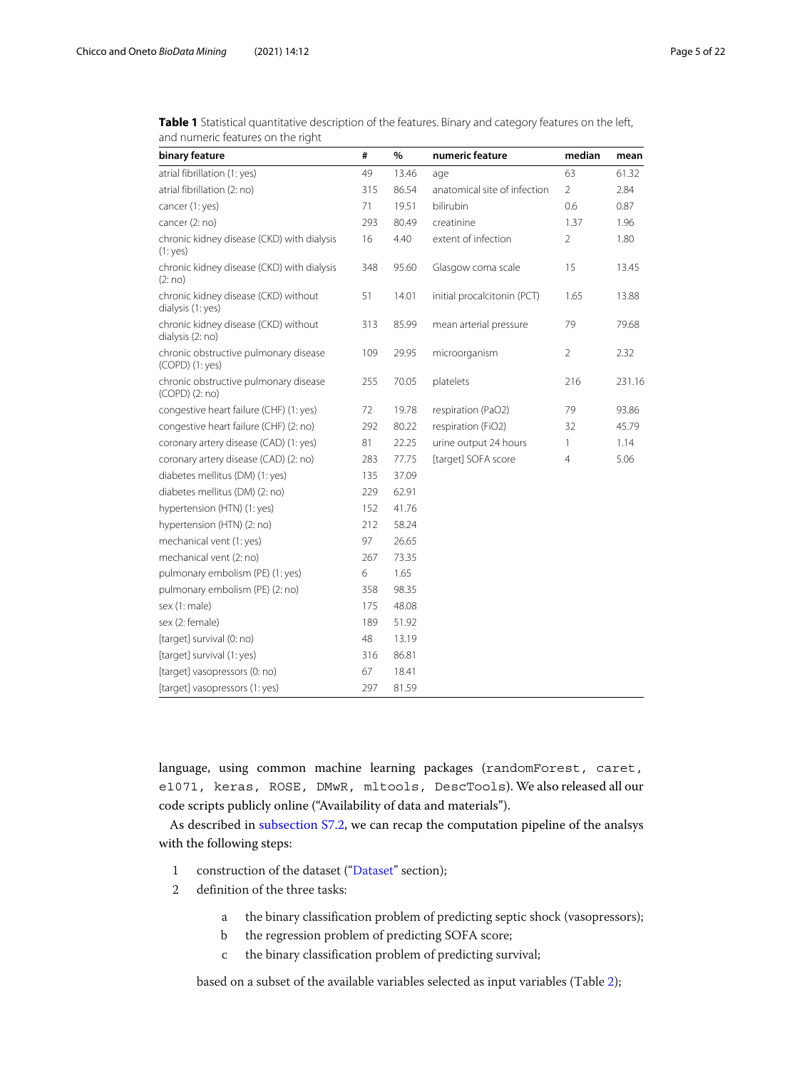| binary feature                                              | #   | $\%$  | numeric feature              | median         | mean   |
|-------------------------------------------------------------|-----|-------|------------------------------|----------------|--------|
| atrial fibrillation (1: yes)                                | 49  | 13.46 | age                          | 63             | 61.32  |
| atrial fibrillation (2: no)                                 | 315 | 86.54 | anatomical site of infection | $\overline{2}$ | 2.84   |
| cancer (1: yes)                                             | 71  | 19.51 | bilirubin                    | 0.6            | 0.87   |
| cancer (2: no)                                              | 293 | 80.49 | creatinine                   | 1.37           | 1.96   |
| chronic kidney disease (CKD) with dialysis<br>(1: yes)      | 16  | 4.40  | extent of infection          | $\overline{2}$ | 1.80   |
| chronic kidney disease (CKD) with dialysis<br>(2:no)        | 348 | 95.60 | Glasgow coma scale           | 15             | 13.45  |
| chronic kidney disease (CKD) without<br>dialysis (1: yes)   | 51  | 14.01 | initial procalcitonin (PCT)  | 1.65           | 13.88  |
| chronic kidney disease (CKD) without<br>dialysis (2: no)    | 313 | 85.99 | mean arterial pressure       | 79             | 79.68  |
| chronic obstructive pulmonary disease<br>$(COPD)$ $(1:yes)$ | 109 | 29.95 | microorganism                | $\overline{2}$ | 2.32   |
| chronic obstructive pulmonary disease<br>$(COPD)$ $(2:no)$  | 255 | 70.05 | platelets                    | 216            | 231.16 |
| congestive heart failure (CHF) (1: yes)                     | 72  | 19.78 | respiration (PaO2)           | 79             | 93.86  |
| congestive heart failure (CHF) (2: no)                      | 292 | 80.22 | respiration (FiO2)           | 32             | 45.79  |
| coronary artery disease (CAD) (1: yes)                      | 81  | 22.25 | urine output 24 hours        | 1              | 1.14   |
| coronary artery disease (CAD) (2: no)                       | 283 | 77.75 | [target] SOFA score          | $\overline{4}$ | 5.06   |
| diabetes mellitus (DM) (1: yes)                             | 135 | 37.09 |                              |                |        |
| diabetes mellitus (DM) (2: no)                              | 229 | 62.91 |                              |                |        |
| hypertension (HTN) (1: yes)                                 | 152 | 41.76 |                              |                |        |
| hypertension (HTN) (2: no)                                  | 212 | 58.24 |                              |                |        |
| mechanical vent (1: yes)                                    | 97  | 26.65 |                              |                |        |
| mechanical vent (2: no)                                     | 267 | 73.35 |                              |                |        |
| pulmonary embolism (PE) (1: yes)                            | 6   | 1.65  |                              |                |        |
| pulmonary embolism (PE) (2: no)                             | 358 | 98.35 |                              |                |        |
| sex (1: male)                                               | 175 | 48.08 |                              |                |        |
| sex (2: female)                                             | 189 | 51.92 |                              |                |        |
| [target] survival (0: no)                                   | 48  | 13.19 |                              |                |        |
| [target] survival (1: yes)                                  | 316 | 86.81 |                              |                |        |
| [target] vasopressors (0: no)                               | 67  | 18.41 |                              |                |        |
| [target] vasopressors (1: yes)                              | 297 | 81.59 |                              |                |        |

<span id="page-4-0"></span>**Table 1** Statistical quantitative description of the features. Binary and category features on the left, and numeric features on the right

language, using common machine learning packages (randomForest, caret, e1071, keras, ROSE, DMwR, mltools, DescTools). We also released all our code scripts publicly online ("Availability of data and materials").

As described in [subsection S7.2,](#page-17-0) we can recap the computation pipeline of the analsys with the following steps:

- 1 construction of the dataset (["Dataset"](#page-3-0) section);
- 2 definition of the three tasks:
	- a the binary classification problem of predicting septic shock (vasopressors);
	- b the regression problem of predicting SOFA score;
	- c the binary classification problem of predicting survival;

based on a subset of the available variables selected as input variables (Table [2\)](#page-5-0);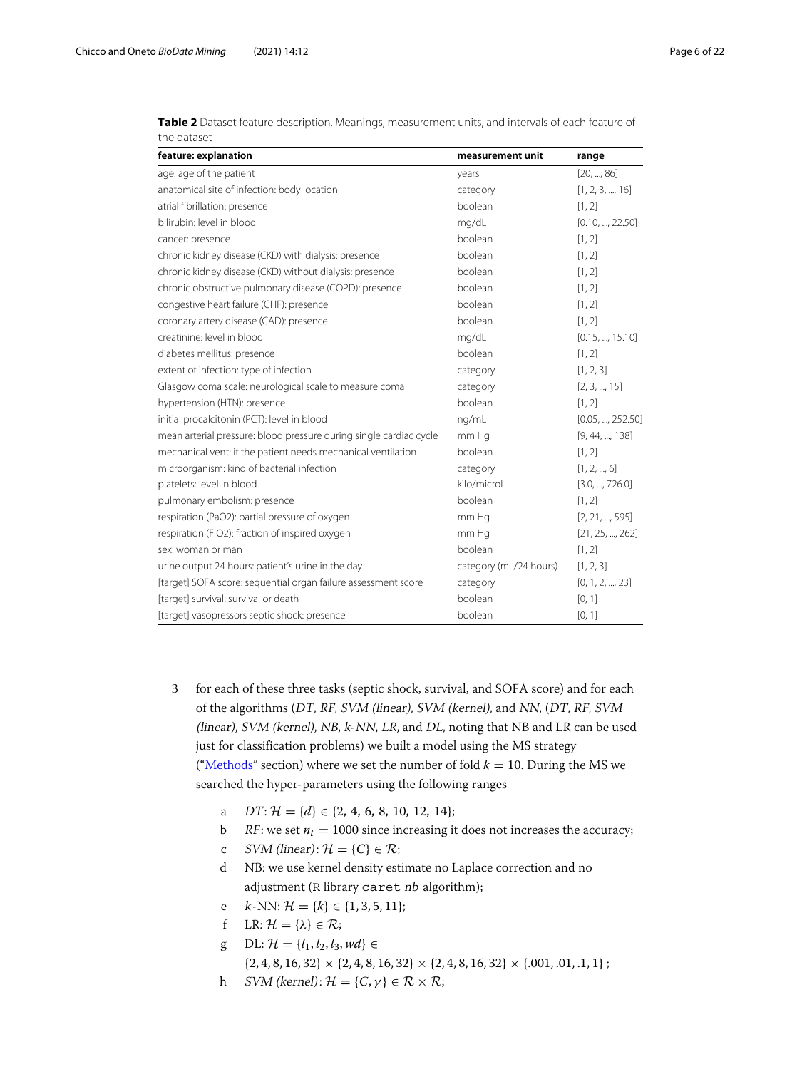| feature: explanation                                               | measurement unit       | range            |
|--------------------------------------------------------------------|------------------------|------------------|
| age: age of the patient                                            | years                  | [20, , 86]       |
| anatomical site of infection: body location                        | category               | [1, 2, 3, , 16]  |
| atrial fibrillation: presence                                      | boolean                | [1, 2]           |
| bilirubin: level in blood                                          | mg/dL                  | [0.10, , 22.50]  |
| cancer: presence                                                   | boolean                | [1, 2]           |
| chronic kidney disease (CKD) with dialysis: presence               | boolean                | [1, 2]           |
| chronic kidney disease (CKD) without dialysis: presence            | boolean                | [1, 2]           |
| chronic obstructive pulmonary disease (COPD): presence             | boolean                | [1, 2]           |
| congestive heart failure (CHF): presence                           | boolean                | [1, 2]           |
| coronary artery disease (CAD): presence                            | boolean                | [1, 2]           |
| creatinine: level in blood                                         | mg/dL                  | [0.15, , 15.10]  |
| diabetes mellitus: presence                                        | boolean                | [1, 2]           |
| extent of infection: type of infection                             | category               | [1, 2, 3]        |
| Glasgow coma scale: neurological scale to measure coma             | category               | [2, 3, , 15]     |
| hypertension (HTN): presence                                       | boolean                | [1, 2]           |
| initial procalcitonin (PCT): level in blood                        | ng/mL                  | [0.05, , 252.50] |
| mean arterial pressure: blood pressure during single cardiac cycle | mm Hg                  | [9, 44, , 138]   |
| mechanical vent: if the patient needs mechanical ventilation       | boolean                | [1, 2]           |
| microorganism: kind of bacterial infection                         | category               | [1, 2, , 6]      |
| platelets: level in blood                                          | kilo/microL            | [3.0, , 726.0]   |
| pulmonary embolism: presence                                       | boolean                | [1, 2]           |
| respiration (PaO2): partial pressure of oxygen                     | mm Hg                  | [2, 21, , 595]   |
| respiration (FiO2): fraction of inspired oxygen                    | mm Hg                  | [21, 25, , 262]  |
| sex: woman or man                                                  | boolean                | [1, 2]           |
| urine output 24 hours: patient's urine in the day                  | category (mL/24 hours) | [1, 2, 3]        |
| [target] SOFA score: sequential organ failure assessment score     | category               | [0, 1, 2, , 23]  |
| [target] survival: survival or death                               | boolean                | [0, 1]           |
| [target] vasopressors septic shock: presence                       | boolean                | [0, 1]           |

<span id="page-5-0"></span>

| Table 2 Dataset feature description. Meanings, measurement units, and intervals of each feature of |  |
|----------------------------------------------------------------------------------------------------|--|
| the dataset                                                                                        |  |

- 3 for each of these three tasks (septic shock, survival, and SOFA score) and for each of the algorithms (DT, RF, SVM (linear), SVM (kernel), and NN, (DT, RF, SVM (linear), SVM (kernel), NB, k-NN, LR, and DL, noting that NB and LR can be used just for classification problems) we built a model using the MS strategy (["Methods"](#page-3-1) section) where we set the number of fold  $k = 10$ . During the MS we searched the hyper-parameters using the following ranges
	- a  $DT: \mathcal{H} = \{d\} \in \{2, 4, 6, 8, 10, 12, 14\};$
	- b RF: we set  $n_t = 1000$  since increasing it does not increases the accuracy;
	- c *SVM* (linear):  $\mathcal{H} = \{C\} \in \mathcal{R}$ ;
	- d NB: we use kernel density estimate no Laplace correction and no adjustment (R library caret nb algorithm);
	- e  $k$ -NN:  $\mathcal{H} = \{k\} \in \{1, 3, 5, 11\};$
	- f LR:  $\mathcal{H} = {\lambda} \in \mathcal{R}$ ;
	- g DL:  $H = \{l_1, l_2, l_3, wd\}$  ∈

 $\{2, 4, 8, 16, 32\} \times \{2, 4, 8, 16, 32\} \times \{2, 4, 8, 16, 32\} \times \{.001, .01, .1, 1\}$ ;

h  $SVM$  (kernel):  $\mathcal{H} = \{C, \gamma\} \in \mathcal{R} \times \mathcal{R}$ ;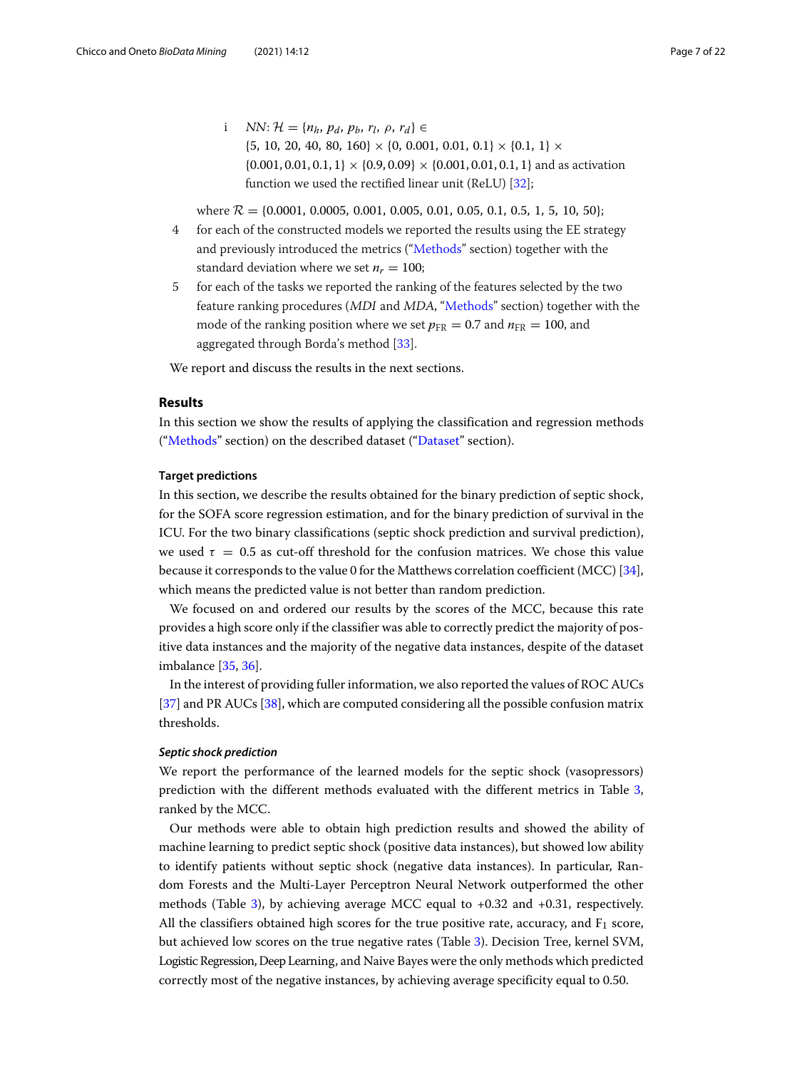i  $NN: \mathcal{H} = \{n_h, p_d, p_b, r_l, \rho, r_d\} \in$  $\{5, 10, 20, 40, 80, 160\} \times \{0, 0.001, 0.01, 0.1\} \times \{0.1, 1\} \times$  $\{0.001, 0.01, 0.1, 1\} \times \{0.9, 0.09\} \times \{0.001, 0.01, 0.1, 1\}$  and as activation function we used the rectified linear unit (ReLU) [\[32\]](#page-19-22);

where  $R = \{0.0001, 0.0005, 0.001, 0.005, 0.01, 0.05, 0.1, 0.5, 1, 5, 10, 50\}$ ;

- 4 for each of the constructed models we reported the results using the EE strategy and previously introduced the metrics (["Methods"](#page-3-1) section) together with the standard deviation where we set  $n_r = 100$ ;
- 5 for each of the tasks we reported the ranking of the features selected by the two feature ranking procedures (MDI and MDA, ["Methods"](#page-3-1) section) together with the mode of the ranking position where we set  $p_{FR} = 0.7$  and  $n_{FR} = 100$ , and aggregated through Borda's method [\[33\]](#page-19-23).

We report and discuss the results in the next sections.

# **Results**

In this section we show the results of applying the classification and regression methods (["Methods"](#page-3-1) section) on the described dataset (["Dataset"](#page-3-0) section).

# **Target predictions**

In this section, we describe the results obtained for the binary prediction of septic shock, for the SOFA score regression estimation, and for the binary prediction of survival in the ICU. For the two binary classifications (septic shock prediction and survival prediction), we used  $\tau = 0.5$  as cut-off threshold for the confusion matrices. We chose this value because it corresponds to the value 0 for the Matthews correlation coefficient (MCC) [\[34\]](#page-19-24), which means the predicted value is not better than random prediction.

We focused on and ordered our results by the scores of the MCC, because this rate provides a high score only if the classifier was able to correctly predict the majority of positive data instances and the majority of the negative data instances, despite of the dataset imbalance [\[35,](#page-19-25) [36\]](#page-19-26).

In the interest of providing fuller information, we also reported the values of ROC AUCs [\[37\]](#page-19-27) and PR AUCs [\[38\]](#page-19-28), which are computed considering all the possible confusion matrix thresholds.

# <span id="page-6-0"></span>*Septic shock prediction*

We report the performance of the learned models for the septic shock (vasopressors) prediction with the different methods evaluated with the different metrics in Table [3,](#page-7-0) ranked by the MCC.

Our methods were able to obtain high prediction results and showed the ability of machine learning to predict septic shock (positive data instances), but showed low ability to identify patients without septic shock (negative data instances). In particular, Random Forests and the Multi-Layer Perceptron Neural Network outperformed the other methods (Table [3\)](#page-7-0), by achieving average MCC equal to +0.32 and +0.31, respectively. All the classifiers obtained high scores for the true positive rate, accuracy, and  $F_1$  score, but achieved low scores on the true negative rates (Table [3\)](#page-7-0). Decision Tree, kernel SVM, Logistic Regression, Deep Learning, and Naive Bayes were the only methods which predicted correctly most of the negative instances, by achieving average specificity equal to 0.50.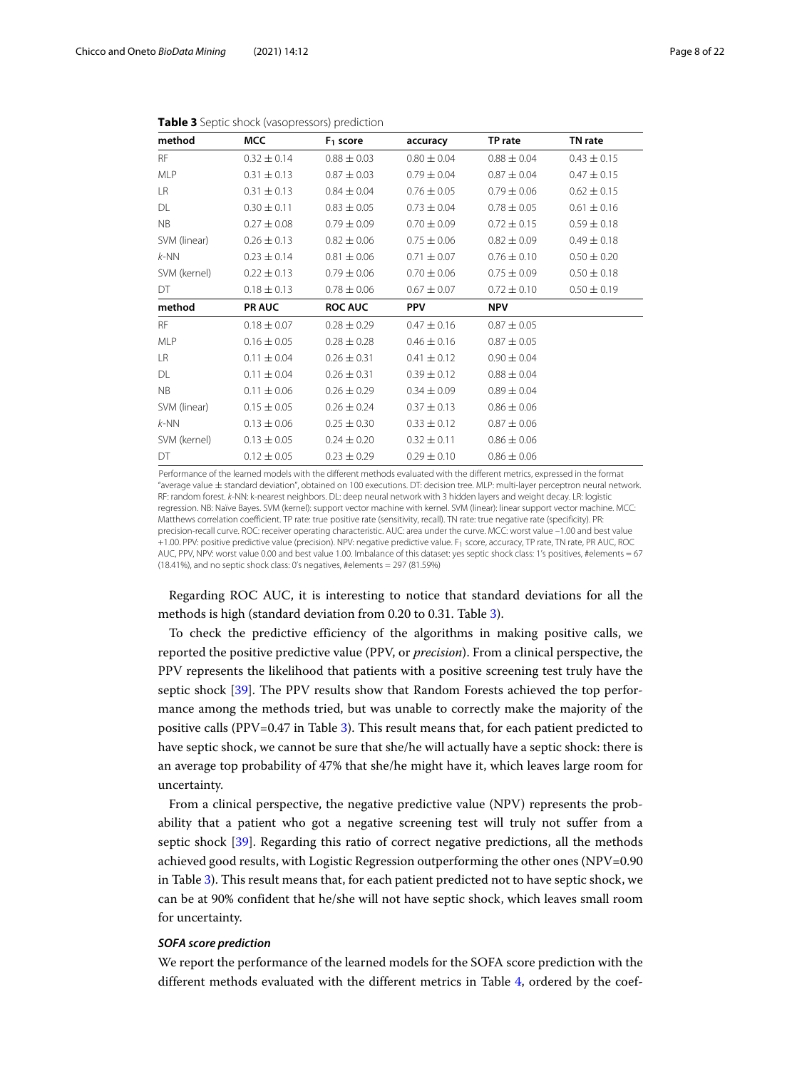<span id="page-7-0"></span>

| method       | <b>MCC</b>      | $F_1$ score     | accuracy        | TP rate         | TN rate         |
|--------------|-----------------|-----------------|-----------------|-----------------|-----------------|
| <b>RF</b>    | $0.32 \pm 0.14$ | $0.88 \pm 0.03$ | $0.80 \pm 0.04$ | $0.88 \pm 0.04$ | $0.43 \pm 0.15$ |
| <b>MLP</b>   | $0.31 \pm 0.13$ | $0.87 \pm 0.03$ | $0.79 \pm 0.04$ | $0.87 + 0.04$   | $0.47 \pm 0.15$ |
| LR.          | $0.31 \pm 0.13$ | $0.84 \pm 0.04$ | $0.76 \pm 0.05$ | $0.79 \pm 0.06$ | $0.62 \pm 0.15$ |
| DL           | $0.30 \pm 0.11$ | $0.83 \pm 0.05$ | $0.73 \pm 0.04$ | $0.78 \pm 0.05$ | $0.61 \pm 0.16$ |
| <b>NB</b>    | $0.27 \pm 0.08$ | $0.79 \pm 0.09$ | $0.70 \pm 0.09$ | $0.72 \pm 0.15$ | $0.59 \pm 0.18$ |
| SVM (linear) | $0.26 \pm 0.13$ | $0.82 \pm 0.06$ | $0.75 \pm 0.06$ | $0.82 \pm 0.09$ | $0.49 \pm 0.18$ |
| $k-NN$       | $0.23 \pm 0.14$ | $0.81 \pm 0.06$ | $0.71 \pm 0.07$ | $0.76 \pm 0.10$ | $0.50 \pm 0.20$ |
| SVM (kernel) | $0.22 \pm 0.13$ | $0.79 \pm 0.06$ | $0.70 \pm 0.06$ | $0.75 \pm 0.09$ | $0.50 \pm 0.18$ |
| DT           | $0.18 \pm 0.13$ | $0.78 \pm 0.06$ | $0.67 \pm 0.07$ | $0.72 \pm 0.10$ | $0.50 \pm 0.19$ |
| method       | <b>PR AUC</b>   | <b>ROC AUC</b>  | <b>PPV</b>      | <b>NPV</b>      |                 |
| <b>RF</b>    | $0.18 \pm 0.07$ | $0.28 \pm 0.29$ | $0.47 \pm 0.16$ | $0.87 \pm 0.05$ |                 |
| <b>MLP</b>   | $0.16 \pm 0.05$ | $0.28 \pm 0.28$ | $0.46 \pm 0.16$ | $0.87 \pm 0.05$ |                 |
| LR           | $0.11 \pm 0.04$ | $0.26 \pm 0.31$ | $0.41 \pm 0.12$ | $0.90 \pm 0.04$ |                 |
| DL           | $0.11 \pm 0.04$ | $0.26 \pm 0.31$ | $0.39 \pm 0.12$ | $0.88 \pm 0.04$ |                 |
| <b>NB</b>    | $0.11 \pm 0.06$ | $0.26 \pm 0.29$ | $0.34 \pm 0.09$ | $0.89 \pm 0.04$ |                 |
| SVM (linear) | $0.15 \pm 0.05$ | $0.26 \pm 0.24$ | $0.37 \pm 0.13$ | $0.86 \pm 0.06$ |                 |
| $k$ -NN      | $0.13 \pm 0.06$ | $0.25 \pm 0.30$ | $0.33 \pm 0.12$ | $0.87 \pm 0.06$ |                 |
| SVM (kernel) | $0.13 \pm 0.05$ | $0.24 \pm 0.20$ | $0.32 \pm 0.11$ | $0.86 \pm 0.06$ |                 |
| DT           | $0.12 \pm 0.05$ | $0.23 \pm 0.29$ | $0.29 \pm 0.10$ | $0.86 \pm 0.06$ |                 |

|  | Table 3 Septic shock (vasopressors) prediction |  |
|--|------------------------------------------------|--|
|--|------------------------------------------------|--|

Performance of the learned models with the different methods evaluated with the different metrics, expressed in the format "average value ± standard deviation", obtained on 100 executions. DT: decision tree. MLP: multi-layer perceptron neural network. RF: random forest. k-NN: k-nearest neighbors. DL: deep neural network with 3 hidden layers and weight decay. LR: logistic regression. NB: Naïve Bayes. SVM (kernel): support vector machine with kernel. SVM (linear): linear support vector machine. MCC: Matthews correlation coefficient. TP rate: true positive rate (sensitivity, recall). TN rate: true negative rate (specificity). PR: precision-recall curve. ROC: receiver operating characteristic. AUC: area under the curve. MCC: worst value –1.00 and best value +1.00. PPV: positive predictive value (precision). NPV: negative predictive value. F1 score, accuracy, TP rate, TN rate, PR AUC, ROC AUC, PPV, NPV: worst value 0.00 and best value 1.00. Imbalance of this dataset: yes septic shock class: 1's positives, #elements = 67 (18.41%), and no septic shock class: 0's negatives, #elements = 297 (81.59%)

Regarding ROC AUC, it is interesting to notice that standard deviations for all the methods is high (standard deviation from 0.20 to 0.31. Table [3\)](#page-7-0).

To check the predictive efficiency of the algorithms in making positive calls, we reported the positive predictive value (PPV, or *precision*). From a clinical perspective, the PPV represents the likelihood that patients with a positive screening test truly have the septic shock [\[39\]](#page-19-29). The PPV results show that Random Forests achieved the top performance among the methods tried, but was unable to correctly make the majority of the positive calls (PPV=0.47 in Table [3\)](#page-7-0). This result means that, for each patient predicted to have septic shock, we cannot be sure that she/he will actually have a septic shock: there is an average top probability of 47% that she/he might have it, which leaves large room for uncertainty.

From a clinical perspective, the negative predictive value (NPV) represents the probability that a patient who got a negative screening test will truly not suffer from a septic shock [\[39\]](#page-19-29). Regarding this ratio of correct negative predictions, all the methods achieved good results, with Logistic Regression outperforming the other ones (NPV=0.90 in Table [3\)](#page-7-0). This result means that, for each patient predicted not to have septic shock, we can be at 90% confident that he/she will not have septic shock, which leaves small room for uncertainty.

# <span id="page-7-1"></span>*SOFA score prediction*

We report the performance of the learned models for the SOFA score prediction with the different methods evaluated with the different metrics in Table [4,](#page-8-0) ordered by the coef-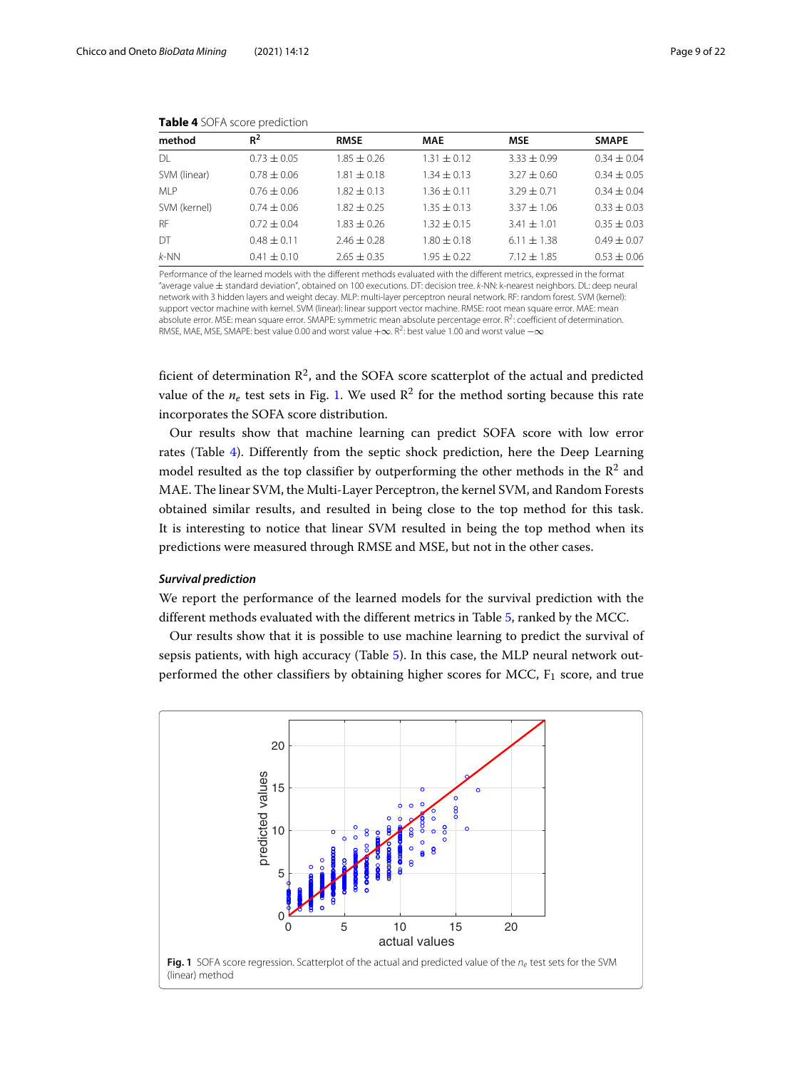<span id="page-8-0"></span>

| method       | $R^2$           | <b>RMSE</b>     | <b>MAE</b>      | <b>MSE</b>      | <b>SMAPE</b>    |
|--------------|-----------------|-----------------|-----------------|-----------------|-----------------|
| DL           | $0.73 \pm 0.05$ | $1.85 \pm 0.26$ | $1.31 \pm 0.12$ | $3.33 + 0.99$   | $0.34 \pm 0.04$ |
| SVM (linear) | $0.78 \pm 0.06$ | $1.81 \pm 0.18$ | $1.34 \pm 0.13$ | $3.27 + 0.60$   | $0.34 \pm 0.05$ |
| MI P         | $0.76 \pm 0.06$ | $1.82 \pm 0.13$ | $1.36 \pm 0.11$ | $3.29 \pm 0.71$ | $0.34 \pm 0.04$ |
| SVM (kernel) | $0.74 \pm 0.06$ | $1.82 + 0.25$   | $1.35 \pm 0.13$ | $3.37 \pm 1.06$ | $0.33 \pm 0.03$ |
| <b>RF</b>    | $0.72 \pm 0.04$ | $1.83 + 0.26$   | $1.32 \pm 0.15$ | $3.41 \pm 1.01$ | $0.35 \pm 0.03$ |
| DT           | $0.48 \pm 0.11$ | $2.46 \pm 0.28$ | $1.80 + 0.18$   | $6.11 \pm 1.38$ | $0.49 \pm 0.07$ |
| $k-NN$       | $0.41 \pm 0.10$ | $2.65 \pm 0.35$ | $1.95 + 0.22$   | $7.12 \pm 1.85$ | $0.53 \pm 0.06$ |

| Table 4 SOFA score prediction |  |  |
|-------------------------------|--|--|
|-------------------------------|--|--|

Performance of the learned models with the different methods evaluated with the different metrics, expressed in the format "average value ± standard deviation", obtained on 100 executions. DT: decision tree. k-NN: k-nearest neighbors. DL: deep neural network with 3 hidden layers and weight decay. MLP: multi-layer perceptron neural network. RF: random forest. SVM (kernel): support vector machine with kernel. SVM (linear): linear support vector machine. RMSE: root mean square error. MAE: mean absolute error. MSE: mean square error. SMAPE: symmetric mean absolute percentage error.  $R^2$ : coefficient of determination. RMSE, MAE, MSE, SMAPE: best value 0.00 and worst value +∞. R<sup>2</sup>: best value 1.00 and worst value  $-\infty$ 

ficient of determination  $\mathbb{R}^2$ , and the SOFA score scatterplot of the actual and predicted value of the  $n_e$  test sets in Fig. [1.](#page-8-1) We used  $\mathbb{R}^2$  for the method sorting because this rate incorporates the SOFA score distribution.

Our results show that machine learning can predict SOFA score with low error rates (Table [4\)](#page-8-0). Differently from the septic shock prediction, here the Deep Learning model resulted as the top classifier by outperforming the other methods in the  $\mathbb{R}^2$  and MAE. The linear SVM, the Multi-Layer Perceptron, the kernel SVM, and Random Forests obtained similar results, and resulted in being close to the top method for this task. It is interesting to notice that linear SVM resulted in being the top method when its predictions were measured through RMSE and MSE, but not in the other cases.

# <span id="page-8-2"></span>*Survival prediction*

We report the performance of the learned models for the survival prediction with the different methods evaluated with the different metrics in Table [5,](#page-9-0) ranked by the MCC.

Our results show that it is possible to use machine learning to predict the survival of sepsis patients, with high accuracy (Table [5\)](#page-9-0). In this case, the MLP neural network outperformed the other classifiers by obtaining higher scores for MCC,  $F_1$  score, and true

<span id="page-8-1"></span>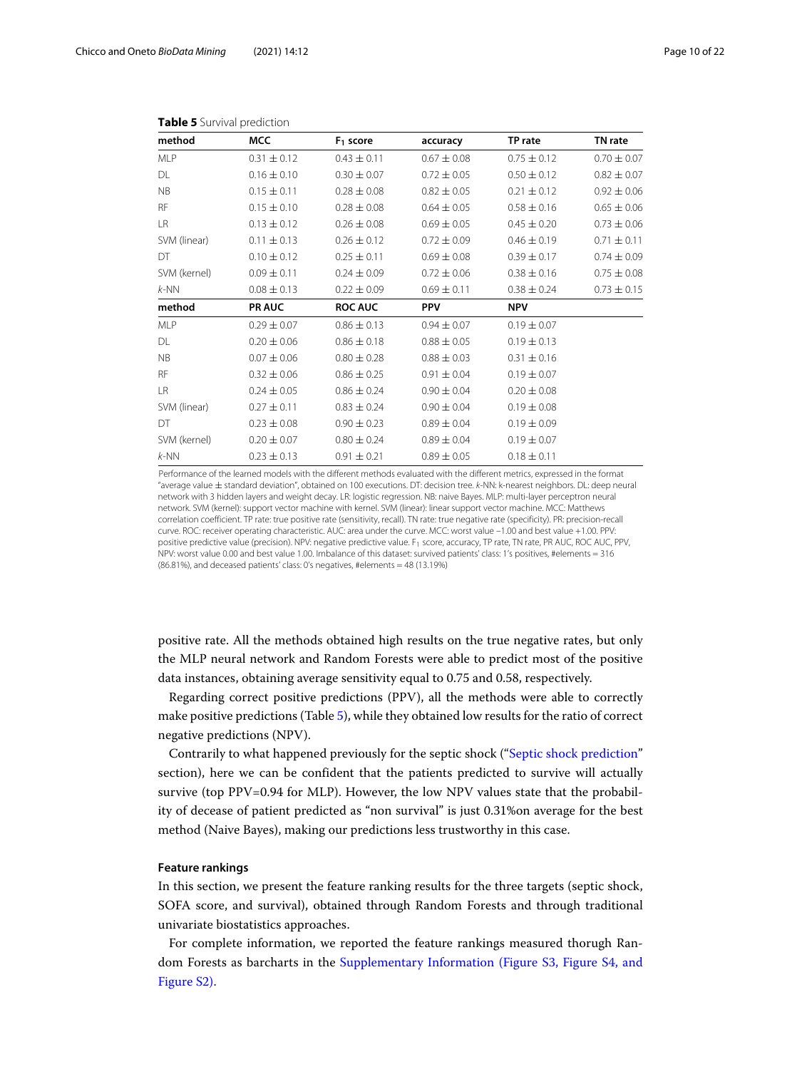<span id="page-9-0"></span>

| method       | <b>MCC</b>      | $F1$ score      | accuracy        | TP rate         | TN rate         |
|--------------|-----------------|-----------------|-----------------|-----------------|-----------------|
| <b>MLP</b>   | $0.31 \pm 0.12$ | $0.43 \pm 0.11$ | $0.67 \pm 0.08$ | $0.75 \pm 0.12$ | $0.70 \pm 0.07$ |
| DL           | $0.16 \pm 0.10$ | $0.30 \pm 0.07$ | $0.72 \pm 0.05$ | $0.50 \pm 0.12$ | $0.82 \pm 0.07$ |
| <b>NB</b>    | $0.15 \pm 0.11$ | $0.28 \pm 0.08$ | $0.82 \pm 0.05$ | $0.21 \pm 0.12$ | $0.92 \pm 0.06$ |
| <b>RF</b>    | $0.15 \pm 0.10$ | $0.28 \pm 0.08$ | $0.64 \pm 0.05$ | $0.58 \pm 0.16$ | $0.65 \pm 0.06$ |
| LR           | $0.13 \pm 0.12$ | $0.26 \pm 0.08$ | $0.69 \pm 0.05$ | $0.45 \pm 0.20$ | $0.73 \pm 0.06$ |
| SVM (linear) | $0.11 \pm 0.13$ | $0.26 \pm 0.12$ | $0.72 \pm 0.09$ | $0.46 \pm 0.19$ | $0.71 \pm 0.11$ |
| DT           | $0.10 \pm 0.12$ | $0.25 \pm 0.11$ | $0.69 \pm 0.08$ | $0.39 \pm 0.17$ | $0.74 \pm 0.09$ |
| SVM (kernel) | $0.09 \pm 0.11$ | $0.24 \pm 0.09$ | $0.72 \pm 0.06$ | $0.38 \pm 0.16$ | $0.75 \pm 0.08$ |
| $k$ -NN      | $0.08 \pm 0.13$ | $0.22 \pm 0.09$ | $0.69 \pm 0.11$ | $0.38 \pm 0.24$ | $0.73 \pm 0.15$ |
| method       | <b>PR AUC</b>   | <b>ROC AUC</b>  | <b>PPV</b>      | <b>NPV</b>      |                 |
| <b>MLP</b>   | $0.29 \pm 0.07$ | $0.86 \pm 0.13$ | $0.94 \pm 0.07$ | $0.19 \pm 0.07$ |                 |
| DL           | $0.20 \pm 0.06$ | $0.86 \pm 0.18$ | $0.88 \pm 0.05$ | $0.19 \pm 0.13$ |                 |
| <b>NB</b>    | $0.07 \pm 0.06$ | $0.80 \pm 0.28$ | $0.88 \pm 0.03$ | $0.31 \pm 0.16$ |                 |
| <b>RF</b>    | $0.32 \pm 0.06$ | $0.86 \pm 0.25$ | $0.91 \pm 0.04$ | $0.19 \pm 0.07$ |                 |
| LR.          | $0.24 \pm 0.05$ | $0.86 \pm 0.24$ | $0.90 \pm 0.04$ | $0.20 \pm 0.08$ |                 |
| SVM (linear) | $0.27 \pm 0.11$ | $0.83 \pm 0.24$ | $0.90 \pm 0.04$ | $0.19 \pm 0.08$ |                 |
| DT           | $0.23 \pm 0.08$ | $0.90 \pm 0.23$ | $0.89 \pm 0.04$ | $0.19 \pm 0.09$ |                 |
| SVM (kernel) | $0.20 \pm 0.07$ | $0.80 \pm 0.24$ | $0.89 \pm 0.04$ | $0.19 \pm 0.07$ |                 |
| $k$ -NN      | $0.23 \pm 0.13$ | $0.91 \pm 0.21$ | $0.89 \pm 0.05$ | $0.18 \pm 0.11$ |                 |

#### **Table 5** Survival prediction

Performance of the learned models with the different methods evaluated with the different metrics, expressed in the format "average value ± standard deviation", obtained on 100 executions. DT: decision tree. k-NN: k-nearest neighbors. DL: deep neural network with 3 hidden layers and weight decay. LR: logistic regression. NB: naive Bayes. MLP: multi-layer perceptron neural network. SVM (kernel): support vector machine with kernel. SVM (linear): linear support vector machine. MCC: Matthews correlation coefficient. TP rate: true positive rate (sensitivity, recall). TN rate: true negative rate (specificity). PR: precision-recall curve. ROC: receiver operating characteristic. AUC: area under the curve. MCC: worst value –1.00 and best value +1.00. PPV: positive predictive value (precision). NPV: negative predictive value. F<sub>1</sub> score, accuracy, TP rate, TN rate, PR AUC, ROC AUC, PPV, NPV: worst value 0.00 and best value 1.00. Imbalance of this dataset: survived patients' class: 1's positives, #elements = 316 (86.81%), and deceased patients' class: 0's negatives, #elements = 48 (13.19%)

positive rate. All the methods obtained high results on the true negative rates, but only the MLP neural network and Random Forests were able to predict most of the positive data instances, obtaining average sensitivity equal to 0.75 and 0.58, respectively.

Regarding correct positive predictions (PPV), all the methods were able to correctly make positive predictions (Table [5\)](#page-9-0), while they obtained low results for the ratio of correct negative predictions (NPV).

Contrarily to what happened previously for the septic shock (["Septic shock prediction"](#page-6-0) section), here we can be confident that the patients predicted to survive will actually survive (top PPV=0.94 for MLP). However, the low NPV values state that the probability of decease of patient predicted as "non survival" is just 0.31%on average for the best method (Naive Bayes), making our predictions less trustworthy in this case.

# **Feature rankings**

In this section, we present the feature ranking results for the three targets (septic shock, SOFA score, and survival), obtained through Random Forests and through traditional univariate biostatistics approaches.

For complete information, we reported the feature rankings measured thorugh Random Forests as barcharts in the [Supplementary Information \(Figure S3, Figure S4, and](#page-17-0) [Figure S2\).](#page-17-0)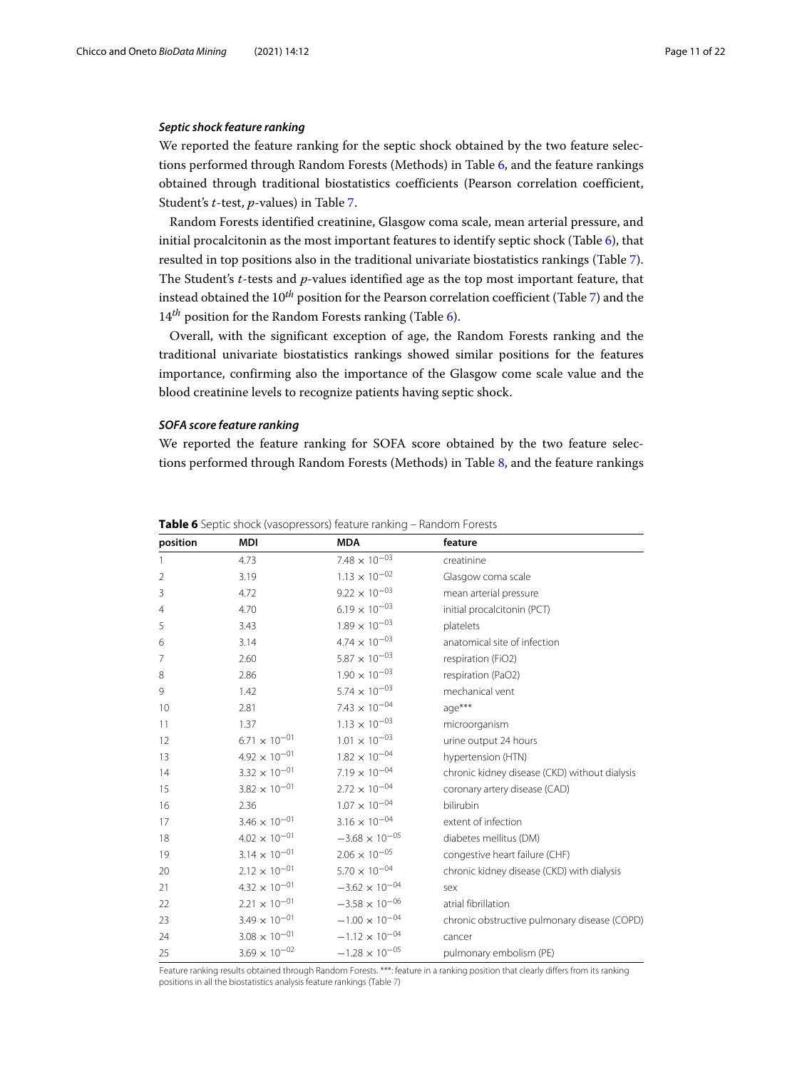# <span id="page-10-1"></span>*Septic shock feature ranking*

We reported the feature ranking for the septic shock obtained by the two feature selections performed through Random Forests (Methods) in Table [6,](#page-10-0) and the feature rankings obtained through traditional biostatistics coefficients (Pearson correlation coefficient, Student's *t*-test, *p*-values) in Table [7.](#page-11-0)

Random Forests identified creatinine, Glasgow coma scale, mean arterial pressure, and initial procalcitonin as the most important features to identify septic shock (Table [6\)](#page-10-0), that resulted in top positions also in the traditional univariate biostatistics rankings (Table [7\)](#page-11-0). The Student's *t*-tests and *p*-values identified age as the top most important feature, that instead obtained the 10*th* position for the Pearson correlation coefficient (Table [7\)](#page-11-0) and the 14<sup>th</sup> position for the Random Forests ranking (Table [6\)](#page-10-0).

Overall, with the significant exception of age, the Random Forests ranking and the traditional univariate biostatistics rankings showed similar positions for the features importance, confirming also the importance of the Glasgow come scale value and the blood creatinine levels to recognize patients having septic shock.

# *SOFA score feature ranking*

We reported the feature ranking for SOFA score obtained by the two feature selections performed through Random Forests (Methods) in Table [8,](#page-12-0) and the feature rankings

| position       | MDI                    | <b>MDA</b>               | feature                                       |
|----------------|------------------------|--------------------------|-----------------------------------------------|
| 1              | 4.73                   | $7.48 \times 10^{-03}$   | creatinine                                    |
| $\overline{2}$ | 3.19                   | $1.13 \times 10^{-02}$   | Glasgow coma scale                            |
| 3              | 4.72                   | $9.22 \times 10^{-03}$   | mean arterial pressure                        |
| 4              | 4.70                   | $6.19 \times 10^{-03}$   | initial procalcitonin (PCT)                   |
| 5              | 3.43                   | $1.89\times10^{-03}$     | platelets                                     |
| 6              | 3.14                   | $4.74 \times 10^{-03}$   | anatomical site of infection                  |
| 7              | 2.60                   | $5.87\times10^{-03}$     | respiration (FiO2)                            |
| 8              | 2.86                   | $1.90 \times 10^{-03}$   | respiration (PaO2)                            |
| 9              | 1.42                   | $5.74\times10^{-03}$     | mechanical vent                               |
| 10             | 2.81                   | $7.43 \times 10^{-04}$   | age***                                        |
| 11             | 1.37                   | $1.13 \times 10^{-03}$   | microorganism                                 |
| 12             | $6.71\times10^{-01}$   | $1.01\,\times\,10^{-03}$ | urine output 24 hours                         |
| 13             | $4.92 \times 10^{-01}$ | $1.82 \times 10^{-04}$   | hypertension (HTN)                            |
| 14             | $3.32 \times 10^{-01}$ | $7.19 \times 10^{-04}$   | chronic kidney disease (CKD) without dialysis |
| 15             | $3.82 \times 10^{-01}$ | $2.72 \times 10^{-04}$   | coronary artery disease (CAD)                 |
| 16             | 2.36                   | $1.07 \times 10^{-04}$   | bilirubin                                     |
| 17             | $3.46 \times 10^{-01}$ | $3.16 \times 10^{-04}$   | extent of infection                           |
| 18             | $4.02 \times 10^{-01}$ | $-3.68 \times 10^{-05}$  | diabetes mellitus (DM)                        |
| 19             | $3.14 \times 10^{-01}$ | $2.06\times10^{-05}$     | congestive heart failure (CHF)                |
| 20             | $2.12\times10^{-01}$   | $5.70 \times 10^{-04}$   | chronic kidney disease (CKD) with dialysis    |
| 21             | $4.32 \times 10^{-01}$ | $-3.62 \times 10^{-04}$  | sex                                           |
| 22             | $2.21 \times 10^{-01}$ | $-3.58 \times 10^{-06}$  | atrial fibrillation                           |
| 23             | $3.49 \times 10^{-01}$ | $-1.00 \times 10^{-04}$  | chronic obstructive pulmonary disease (COPD)  |
| 24             | $3.08\times10^{-01}$   | $-1.12 \times 10^{-04}$  | cancer                                        |
| 25             | $3.69 \times 10^{-02}$ | $-1.28 \times 10^{-05}$  | pulmonary embolism (PE)                       |

<span id="page-10-0"></span>**Table 6** Septic shock (vasopressors) feature ranking – Random Forests

Feature ranking results obtained through Random Forests. \*\*\*: feature in a ranking position that clearly differs from its ranking positions in all the biostatistics analysis feature rankings (Table [7\)](#page-11-0)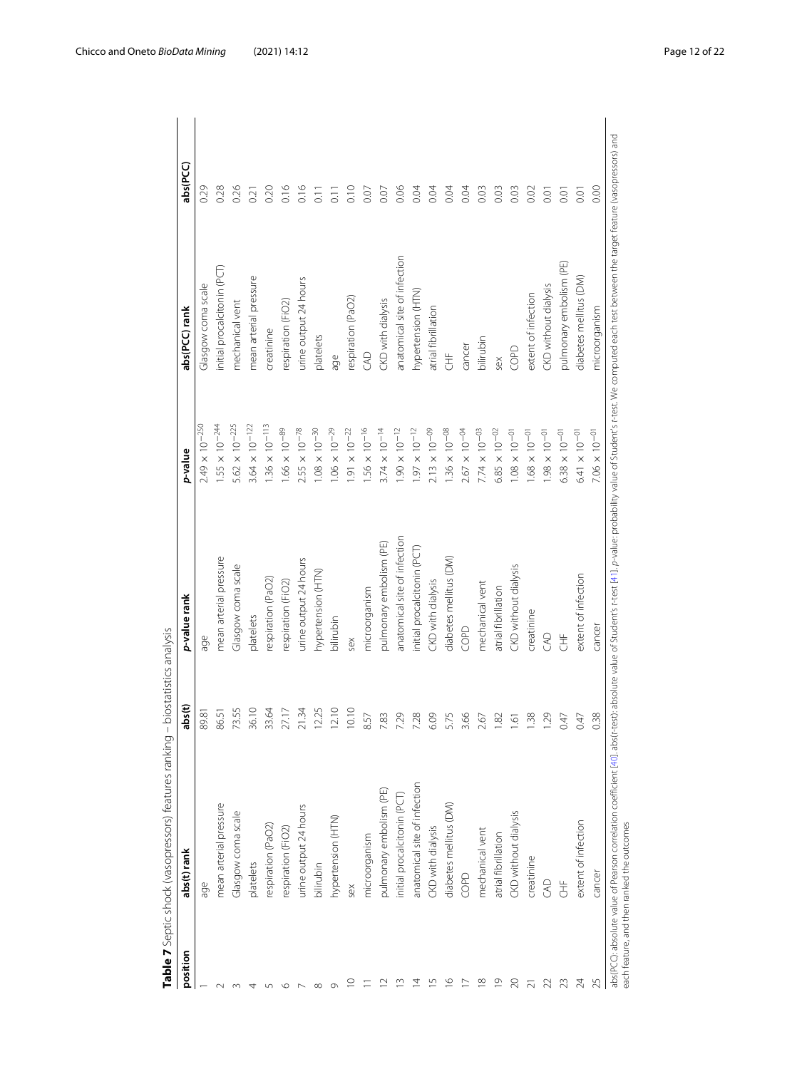| position       | abs(t) rank                  | abs(t)                          | p-value rank                 | p-value                 | abs(PCC) rank                | abs(PCC)         |
|----------------|------------------------------|---------------------------------|------------------------------|-------------------------|------------------------------|------------------|
|                | age                          | 89.81                           | age                          | $2.49 \times 10^{-250}$ | Glasgow coma scale           | 0.29             |
|                | mean arterial pressure       | 86.51                           | mean arterial pressure       | $1.55 \times 10^{-244}$ | initial procalcitonin (PCT)  | 0.28             |
|                | Glasgow coma scale           | 55<br>73.                       | Glasgow coma scale           | $5.62 \times 10^{-225}$ | mechanical vent              | 0.26             |
|                | platelets                    | 36.10                           | platelets                    | $3.64 \times 10^{-122}$ | mean arterial pressure       | 0.21             |
|                | respiration (PaO2)           | $\mathcal{R}$<br>33.            | respiration (PaO2)           | $1.36 \times 10^{-113}$ | creatinine                   | 0.20             |
|                | respiration (FiO2)           | $\overline{z}$<br>27.           | respiration (FiO2)           | $1.66 \times 10^{-89}$  | respiration (FiO2)           | 0.16             |
|                | urine output 24 hours        | 21.34                           | urine output 24 hours        | $2.55\times10^{-78}$    | urine output 24 hours        | 0.16             |
|                | bilirubin                    | 25<br><br>2                     | hypertension (HTN)           | $1.08 \times 10^{-30}$  | platelets                    | 0.11             |
|                | hypertension (HTN)           | $\supseteq$<br>$\overline{2}$ . | bilirubin                    | $1.06 \times 10^{-29}$  | age                          | $\overline{0}$ . |
| $\circ$        | sex                          | $\supseteq$<br>$\supseteq$      | sex                          | $1.91 \times 10^{-22}$  | respiration (PaO2)           | 0.10             |
|                | microorganism                | $8.57\,$                        | microorganism                | $1.56 \times 10^{-16}$  | GAD                          | 0.07             |
| $\sim$         | pulmonary embolism (PE)      | 7.83                            | pulmonary embolism (PE)      | $3.74 \times 10^{-14}$  | CKD with dialysis            | 0.07             |
| $\sim$         | initial procalcitonin (PCT)  | 7.29                            | anatomical site of infection | $1.90 \times 10^{-12}$  | anatomical site of infection | 0.06             |
| 4              | anatomical site of infection | 7.28                            | initial procalcitonin (PCT)  | $1.97 \times 10^{-12}$  | hypertension (HTN)           | 0.04             |
| 5              | CKD with dialysis            | 6.09                            | CKD with dialysis            | $2.13 \times 10^{-09}$  | atrial fibrillation          | 0.04             |
| $\circ$        | diabetes mellitus (DM)       | 5.7                             | diabetes mellitus (DM)       | $1.36 \times 10^{-08}$  | 生                            | 0.04             |
| $\overline{ }$ | COPD                         | 3.66                            | COPD                         | $2.67 \times 10^{-04}$  | cancer                       | 0.04             |
| $\infty$       | mechanical vent              | 2.67                            | mechanical vent              | $7.74 \times 10^{-03}$  | bilirubin                    | 0.03             |
| $\circ$        | atrial fibrillation          | $\frac{1}{2}$                   | atrial fibrillation          | $6.85 \times 10^{-02}$  | sex                          | 0.03             |
| $\approx$      | CKD without dialysis         | $\frac{5}{1}$                   | CKD without dialysis         | $1.08 \times 10^{-01}$  | COPD                         | 0.03             |
|                | creatinine                   | 1.38                            | creatinine                   | $1.68 \times 10^{-01}$  | extent of infection          | 0.02             |
| $\overline{2}$ | GAD                          | 1.29                            | S                            | $1.98 \times 10^{-01}$  | CKD without dialysis         | 0.01             |
| 23             | 告                            | 0.4                             | 生                            | $6.38 \times 10^{-01}$  | pulmonary embolism (PE)      | 0.01             |
| 24             | extent of infection          | 0.47                            | extent of infection          | $6.41 \times 10^{-01}$  | diabetes mellitus (DM)       | 0.01             |
| $\sqrt{2}$     | cancer                       | 0.38                            | cancer                       | $7.06 \times 10^{-01}$  | microorganism                | 0.00             |

<span id="page-11-0"></span>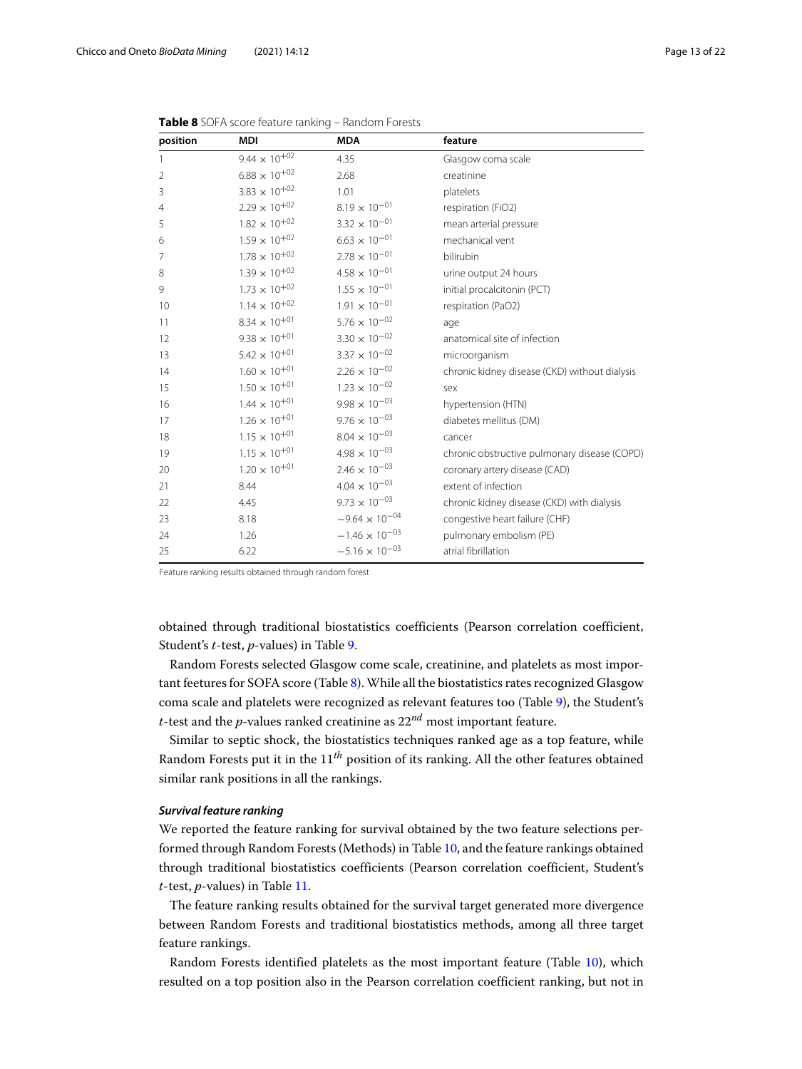| position       | <b>MDI</b>             | <b>MDA</b>              | feature                                       |
|----------------|------------------------|-------------------------|-----------------------------------------------|
| 1              | $9.44 \times 10^{+02}$ | 4.35                    | Glasgow coma scale                            |
| $\overline{2}$ | $6.88\times10^{+02}$   | 2.68                    | creatinine                                    |
| 3              | $3.83 \times 10^{+02}$ | 1.01                    | platelets                                     |
| $\overline{4}$ | $2.29 \times 10^{+02}$ | $8.19 \times 10^{-01}$  | respiration (FiO2)                            |
| 5              | $1.82 \times 10^{+02}$ | $3.32 \times 10^{-01}$  | mean arterial pressure                        |
| 6              | $1.59 \times 10^{+02}$ | $6.63 \times 10^{-01}$  | mechanical vent                               |
| 7              | $1.78\times10^{+02}$   | $2.78 \times 10^{-01}$  | bilirubin                                     |
| 8              | $1.39 \times 10^{+02}$ | $4.58 \times 10^{-01}$  | urine output 24 hours                         |
| 9              | $1.73 \times 10^{+02}$ | $1.55 \times 10^{-01}$  | initial procalcitonin (PCT)                   |
| 10             | $1.14 \times 10^{+02}$ | $1.91 \times 10^{-01}$  | respiration (PaO2)                            |
| 11             | $8.34 \times 10^{+01}$ | $5.76 \times 10^{-02}$  | age                                           |
| 12             | $9.38 \times 10^{+01}$ | $3.30 \times 10^{-02}$  | anatomical site of infection                  |
| 13             | $5.42 \times 10^{+01}$ | $3.37 \times 10^{-02}$  | microorganism                                 |
| 14             | $1.60 \times 10^{+01}$ | $2.26 \times 10^{-02}$  | chronic kidney disease (CKD) without dialysis |
| 15             | $1.50 \times 10^{+01}$ | $1.23 \times 10^{-02}$  | sex                                           |
| 16             | $1.44 \times 10^{+01}$ | $9.98 \times 10^{-03}$  | hypertension (HTN)                            |
| 17             | $1.26 \times 10^{+01}$ | $9.76 \times 10^{-03}$  | diabetes mellitus (DM)                        |
| 18             | $1.15 \times 10^{+01}$ | $8.04 \times 10^{-03}$  | cancer                                        |
| 19             | $1.15 \times 10^{+01}$ | $4.98 \times 10^{-03}$  | chronic obstructive pulmonary disease (COPD)  |
| 20             | $1.20 \times 10^{+01}$ | $2.46 \times 10^{-03}$  | coronary artery disease (CAD)                 |
| 21             | 8.44                   | $4.04 \times 10^{-03}$  | extent of infection                           |
| 22             | 4.45                   | $9.73 \times 10^{-03}$  | chronic kidney disease (CKD) with dialysis    |
| 23             | 8.18                   | $-9.64 \times 10^{-04}$ | congestive heart failure (CHF)                |
| 24             | 1.26                   | $-1.46 \times 10^{-03}$ | pulmonary embolism (PE)                       |
| 25             | 6.22                   | $-5.16 \times 10^{-03}$ | atrial fibrillation                           |

<span id="page-12-0"></span>

| Table 8 SOFA score feature ranking - Random Forests |  |  |  |
|-----------------------------------------------------|--|--|--|
|-----------------------------------------------------|--|--|--|

Feature ranking results obtained through random forest

obtained through traditional biostatistics coefficients (Pearson correlation coefficient, Student's *t*-test, *p*-values) in Table [9.](#page-13-0)

Random Forests selected Glasgow come scale, creatinine, and platelets as most important feetures for SOFA score (Table [8\)](#page-12-0). While all the biostatistics rates recognized Glasgow coma scale and platelets were recognized as relevant features too (Table [9\)](#page-13-0), the Student's *t*-test and the *p*-values ranked creatinine as 22*nd* most important feature.

Similar to septic shock, the biostatistics techniques ranked age as a top feature, while Random Forests put it in the 11*th* position of its ranking. All the other features obtained similar rank positions in all the rankings.

# *Survival feature ranking*

We reported the feature ranking for survival obtained by the two feature selections performed through Random Forests (Methods) in Table [10,](#page-14-0) and the feature rankings obtained through traditional biostatistics coefficients (Pearson correlation coefficient, Student's *t*-test, *p*-values) in Table [11.](#page-15-0)

The feature ranking results obtained for the survival target generated more divergence between Random Forests and traditional biostatistics methods, among all three target feature rankings.

Random Forests identified platelets as the most important feature (Table [10\)](#page-14-0), which resulted on a top position also in the Pearson correlation coefficient ranking, but not in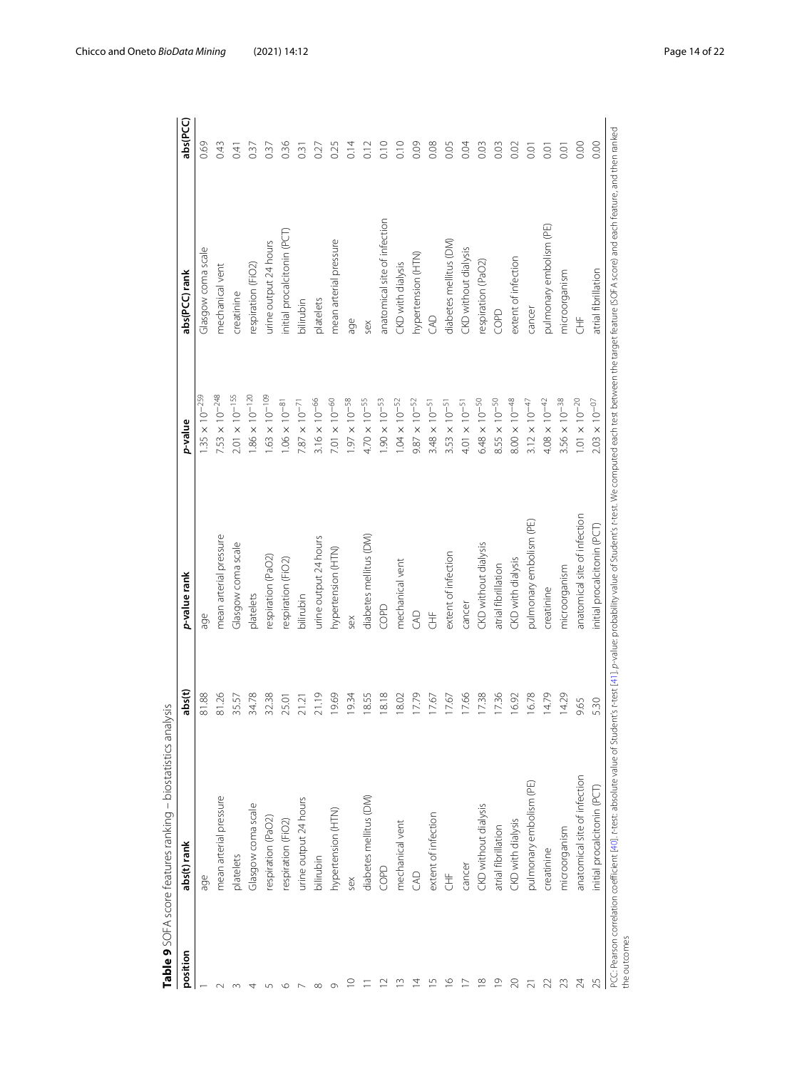| position        | abs(t) rank                  | abs(t) | p-value rank                 | p-value                 | abs(PCC) rank                | abs(PCC)         |
|-----------------|------------------------------|--------|------------------------------|-------------------------|------------------------------|------------------|
|                 | age                          | 81.88  | age                          | $1.35 \times 10^{-259}$ | Glasgow coma scale           | 0.69             |
|                 | mean arterial pressure       | 81.26  | mean arterial pressure       | $7.53 \times 10^{-248}$ | mechanical vent              | 0.43             |
|                 | platelets                    | 35.57  | Glasgow coma scale           | $2.01 \times 10^{-155}$ | creatinine                   | 0.41             |
|                 | Glasgow coma scale           | 34.78  | platelets                    | $1.86 \times 10^{-120}$ | respiration (FiO2)           | 0.37             |
|                 | respiration (PaO2)           | 32.38  | respiration (PaO2)           | $1.63 \times 10^{-109}$ | urine output 24 hours        | 0.37             |
|                 | respiration (FiO2)           | 25.01  | respiration (FiO2)           | $1.06 \times 10^{-81}$  | initial procalcitonin (PCT)  | 0.36             |
|                 | urine output 24 hours        | 21.21  | bilirubin                    | $7.87 \times 10^{-71}$  | oilirubin                    | 0.31             |
|                 | bilirubin                    | 21.19  | urine output 24 hours        | $3.16 \times 10^{-66}$  | platelets                    | 0.27             |
|                 | hypertension (HTN)           | 19.69  | hypertension (HTN)           | $7.01 \times 10^{-60}$  | mean arterial pressure       | 0.25             |
| O               | sex                          | 19.34  | sex                          | $1.97 \times 10^{-58}$  | age                          | 0.14             |
|                 | diabetes mellitus (DM)       | 18.55  | diabetes mellitus (DM)       | $4.70 \times 10^{-55}$  | sex                          | $\frac{2}{2}$    |
| $\sim$          | COPD                         | 18.18  | COPD                         | $1.90 \times 10^{-53}$  | anatomical site of infection | $\frac{10}{10}$  |
| S               | mechanical vent              | 18.02  | mechanical vent              | $1.04 \times 10^{-52}$  | CKD with dialysis            | 0.10             |
| 4               | CAD                          | 17.79  | S                            | $9.87 \times 10^{-52}$  | hypertension (HTN)           | 0.09             |
| 5               | extent of infection          | 17.67  | 生                            | $3.48 \times 10^{-51}$  | S                            | 0.08             |
| $\circ$         | 专                            | 17.67  | extent of infection          | $3.53 \times 10^{-51}$  | diabetes mellitus (DM)       | 0.05             |
|                 | cancer                       | 17.66  | cancer                       | $4.01 \times 10^{-51}$  | CKD without dialysis         | 0.04             |
| $\infty$        | CKD without dialysis         | 17.38  | CKD without dialysis         | $6.48 \times 10^{-50}$  | espiration (PaO2)            | 0.03             |
| $\circ$         | atrial fibrillation          | 17.36  | atrial fibrillation          | $8.55 \times 10^{-50}$  | COPD                         | 0.03             |
| g               | CKD with dialysis            | 16.92  | CKD with dialysis            | $8.00\times10^{-48}$    | extent of infection          | 0.02             |
|                 | pulmonary embolism (PE)      | 16.78  | pulmonary embolism (PE)      | $3.12 \times 10^{-47}$  | cancer                       | 0.01             |
|                 | creatinine                   | 14.79  | creatinine                   | $4.08 \times 10^{-42}$  | pulmonary embolism (PE)      | 0.01             |
| 23              | microorganism                | 14.29  | microorganism                | $3.56 \times 10^{-38}$  | microorganism                | $\overline{0}$ . |
| $\overline{A}$  | anatomical site of infection | 9.65   | anatomical site of infection | $1.01 \times 10^{-20}$  | 告                            | 0.00             |
| $\overline{25}$ | initial procalcitonin (PCT)  | 5.30   | initial procalcitonin (PCT)  | $2.03 \times 10^{-07}$  | atrial fibrillation          | 0.00             |

<span id="page-13-0"></span>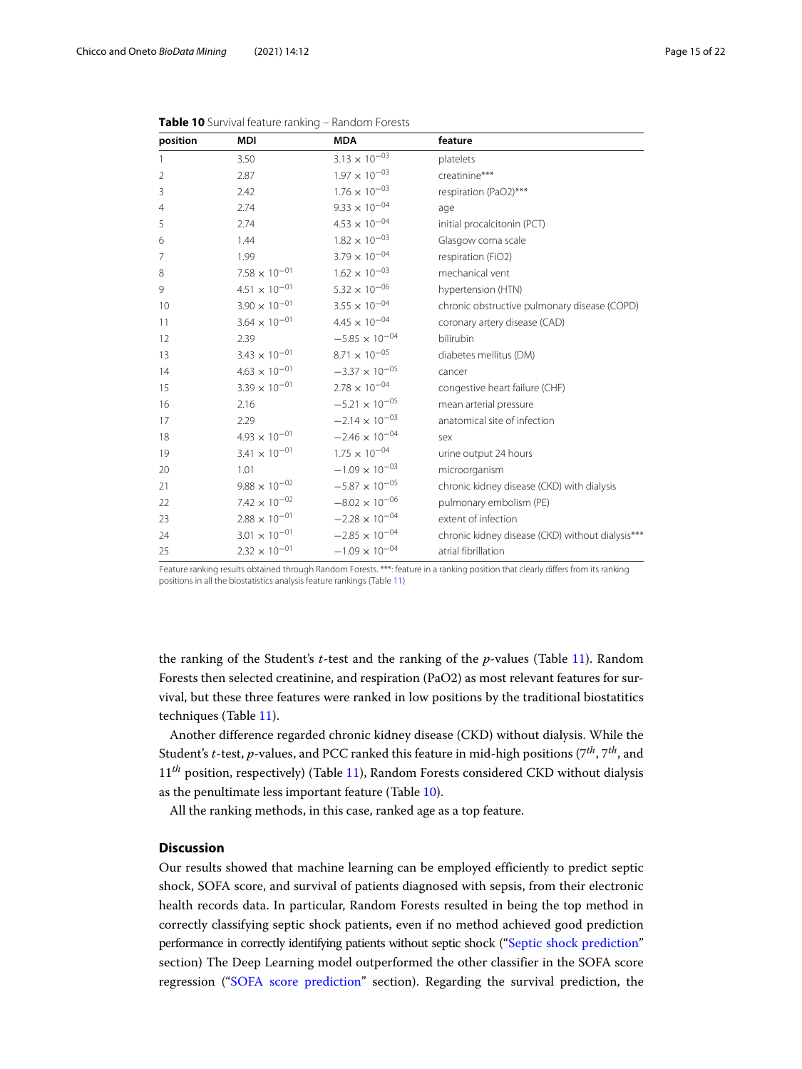| position | <b>MDI</b>             | <b>MDA</b>              | feature                                          |
|----------|------------------------|-------------------------|--------------------------------------------------|
| 1        | 3.50                   | $3.13 \times 10^{-03}$  | platelets                                        |
| 2        | 2.87                   | $1.97 \times 10^{-03}$  | creatinine***                                    |
| 3        | 2.42                   | $1.76\times10^{-03}$    | respiration (PaO2)***                            |
| 4        | 2.74                   | $9.33\times10^{-04}$    | age                                              |
| 5        | 2.74                   | $4.53 \times 10^{-04}$  | initial procalcitonin (PCT)                      |
| 6        | 1.44                   | $1.82 \times 10^{-03}$  | Glasgow coma scale                               |
| 7        | 1.99                   | $3.79 \times 10^{-04}$  | respiration (FiO2)                               |
| 8        | $7.58\times10^{-01}$   | $1.62 \times 10^{-03}$  | mechanical vent                                  |
| 9        | $4.51 \times 10^{-01}$ | $5.32 \times 10^{-06}$  | hypertension (HTN)                               |
| 10       | $3.90 \times 10^{-01}$ | $3.55 \times 10^{-04}$  | chronic obstructive pulmonary disease (COPD)     |
| 11       | $3.64 \times 10^{-01}$ | $4.45 \times 10^{-04}$  | coronary artery disease (CAD)                    |
| 12       | 2.39                   | $-5.85 \times 10^{-04}$ | bilirubin                                        |
| 13       | $3.43 \times 10^{-01}$ | $8.71 \times 10^{-05}$  | diabetes mellitus (DM)                           |
| 14       | $4.63 \times 10^{-01}$ | $-3.37 \times 10^{-05}$ | cancer                                           |
| 15       | $3.39 \times 10^{-01}$ | $2.78 \times 10^{-04}$  | congestive heart failure (CHF)                   |
| 16       | 2.16                   | $-5.21 \times 10^{-05}$ | mean arterial pressure                           |
| 17       | 2.29                   | $-2.14 \times 10^{-03}$ | anatomical site of infection                     |
| 18       | $4.93 \times 10^{-01}$ | $-2.46 \times 10^{-04}$ | sex                                              |
| 19       | $3.41 \times 10^{-01}$ | $1.75 \times 10^{-04}$  | urine output 24 hours                            |
| 20       | 1.01                   | $-1.09 \times 10^{-03}$ | microorganism                                    |
| 21       | $9.88 \times 10^{-02}$ | $-5.87 \times 10^{-05}$ | chronic kidney disease (CKD) with dialysis       |
| 22       | $7.42 \times 10^{-02}$ | $-8.02 \times 10^{-06}$ | pulmonary embolism (PE)                          |
| 23       | $2.88 \times 10^{-01}$ | $-2.28 \times 10^{-04}$ | extent of infection                              |
| 24       | $3.01\times10^{-01}$   | $-2.85 \times 10^{-04}$ | chronic kidney disease (CKD) without dialysis*** |
| 25       | $2.32 \times 10^{-01}$ | $-1.09 \times 10^{-04}$ | atrial fibrillation                              |

<span id="page-14-0"></span>

|  |  |  | Table 10 Survival feature ranking - Random Forests |  |  |
|--|--|--|----------------------------------------------------|--|--|
|--|--|--|----------------------------------------------------|--|--|

Feature ranking results obtained through Random Forests. \*\*\*: feature in a ranking position that clearly differs from its ranking positions in all the biostatistics analysis feature rankings (Table [11\)](#page-15-0)

the ranking of the Student's *t*-test and the ranking of the *p*-values (Table [11\)](#page-15-0). Random Forests then selected creatinine, and respiration (PaO2) as most relevant features for survival, but these three features were ranked in low positions by the traditional biostatitics techniques (Table [11\)](#page-15-0).

Another difference regarded chronic kidney disease (CKD) without dialysis. While the Student's *t*-test, *p*-values, and PCC ranked this feature in mid-high positions (7*th*, 7*th*, and 11<sup>th</sup> position, respectively) (Table [11\)](#page-15-0), Random Forests considered CKD without dialysis as the penultimate less important feature (Table [10\)](#page-14-0).

All the ranking methods, in this case, ranked age as a top feature.

# **Discussion**

Our results showed that machine learning can be employed efficiently to predict septic shock, SOFA score, and survival of patients diagnosed with sepsis, from their electronic health records data. In particular, Random Forests resulted in being the top method in correctly classifying septic shock patients, even if no method achieved good prediction performance in correctly identifying patients without septic shock (["Septic shock prediction"](#page-6-0) section) The Deep Learning model outperformed the other classifier in the SOFA score regression (["SOFA score prediction"](#page-7-1) section). Regarding the survival prediction, the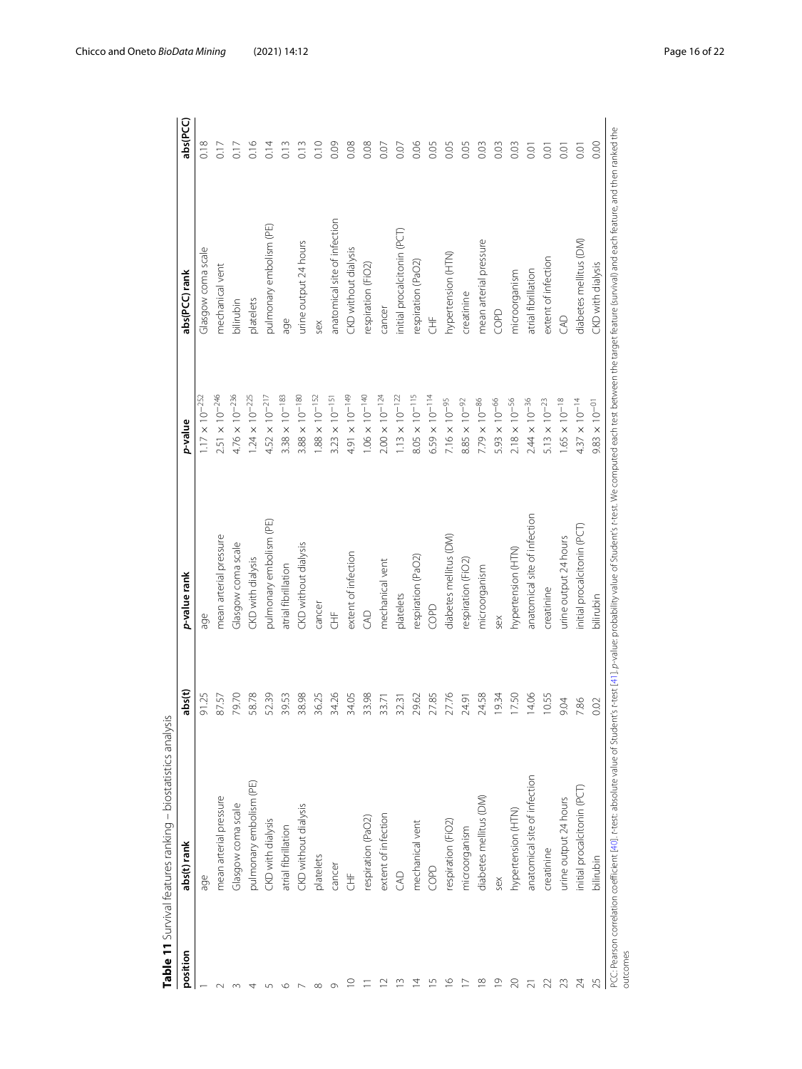| position | abs(t) rank                  | abs(t) | p-value rank                 | p-value                 | abs(PCC) rank                | abs(PCC)         |
|----------|------------------------------|--------|------------------------------|-------------------------|------------------------------|------------------|
|          | age                          | 91.25  | age                          | $1.17 \times 10^{-252}$ | Glasgow coma scale           | 0.18             |
|          | mean arterial pressure       | 87.57  | mean arterial pressure       | $2.51 \times 10^{-246}$ | mechanical vent              | 0.17             |
|          | Glasgow coma scale           | 79.70  | Glasgow coma scale           | $4.76 \times 10^{-236}$ | bilirubin                    | 0.17             |
|          | pulmonary embolism (PE)      | 58.78  | CKD with dialysis            | $1.24 \times 10^{-225}$ | platelets                    | 0.16             |
|          | CKD with dialysis            | 52.39  | pulmonary embolism (PE)      | $4.52 \times 10^{-217}$ | pulmonary embolism (PE)      | 0.14             |
|          | atrial fibrillation          | 39.53  | atrial fibrillation          | $3.38 \times 10^{-183}$ | age                          | 0.13             |
|          | CKD without dialysis         | 38.98  | CKD without dialysis         | $3.88 \times 10^{-180}$ | urine output 24 hours        | 0.13             |
|          | platelets                    | 36.25  | cancer                       | $1.88 \times 10^{-152}$ | sex                          | 0.10             |
|          | cancer                       | 34.26  | 生                            | $3.23 \times 10^{-15}$  | anatomical site of infection | 0.09             |
|          | 生                            | 34.05  | extent of infection          | $4.91 \times 10^{-149}$ | CKD without dialysis         | 0.08             |
|          | respiration (PaO2)           | 33.98  | GAD                          | $1.06 \times 10^{-140}$ | respiration (FiO2)           | 0.08             |
|          | extent of infection          | 33.71  | mechanical vent              | $2.00 \times 10^{-124}$ | cancer                       | 0.07             |
|          | CAD                          | 32.31  | platelets                    | $1.13 \times 10^{-122}$ | initial procalcitonin (PCT)  | 0.07             |
|          | mechanical vent              | 29.62  | respiration (PaO2)           | $8.05 \times 10^{-115}$ | respiration (PaO2)           | 0.06             |
| S        | COPD                         | 27.85  | COPD                         | $6.59 \times 10^{-114}$ | 舌                            | 0.05             |
| $\circ$  | respiration (FiO2)           | 27.76  | diabetes mellitus (DM)       | $7.16 \times 10^{-95}$  | hypertension (HTN)           | 0.05             |
|          | microorganism                | 24.91  | respiration (FiO2)           | $8.85 \times 10^{-92}$  | creatinine                   | 0.05             |
| $\infty$ | diabetes mellitus (DM)       | 24.58  | microorganism                | $7.79 \times 10^{-86}$  | mean arterial pressure       | 0.03             |
| $\circ$  | sex                          | 19.34  | sex                          | $5.93 \times 10^{-66}$  | COPD                         | 0.03             |
|          | hypertension (HTN)           | 17.50  | hypertension (HTN)           | $2.18 \times 10^{-56}$  | microorganism                | 0.03             |
|          | anatomical site of infection | 14.06  | anatomical site of infection | $2.44 \times 10^{-36}$  | atrial fibrillation          | 0.01             |
|          | creatinine                   | 10.55  | creatinine                   | $5.13 \times 10^{-23}$  | extent of infection          | $\overline{O}$ . |
| 23       | urine output 24 hours        | 9.04   | urine output 24 hours        | $1.65 \times 10^{-18}$  | GAD                          | $\overline{0}$ . |
|          | initial procalcitonin (PCT)  | 7.86   | initial procalcitonin (PCT)  | $4.37 \times 10^{-14}$  | diabetes mellitus (DM)       | 0.01             |
|          | bilirubin                    | 0.02   | bilirubin                    | $9.83 \times 10^{-01}$  | CKD with dialysis            | 0.00             |

<span id="page-15-0"></span>

Chicco and Oneto *BioData Mining* (2021) 14:12 **Page 16 of 22** Page 16 of 22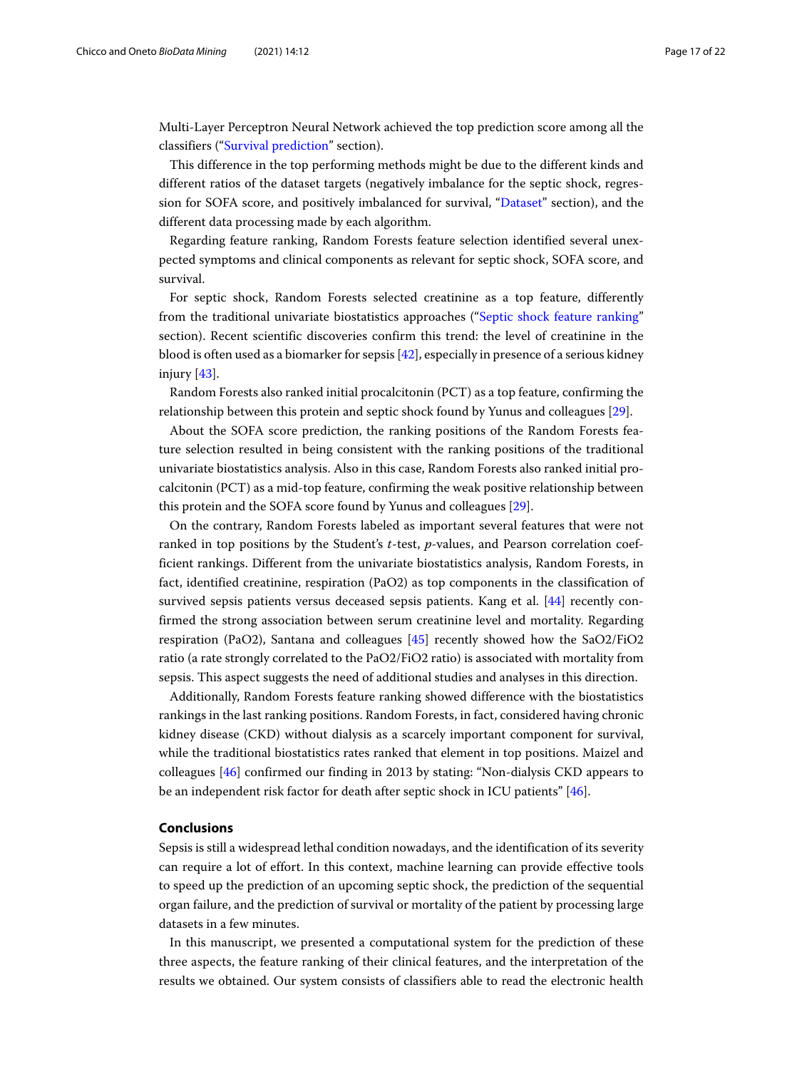Multi-Layer Perceptron Neural Network achieved the top prediction score among all the classifiers (["Survival prediction"](#page-8-2) section).

This difference in the top performing methods might be due to the different kinds and different ratios of the dataset targets (negatively imbalance for the septic shock, regression for SOFA score, and positively imbalanced for survival, ["Dataset"](#page-3-0) section), and the different data processing made by each algorithm.

Regarding feature ranking, Random Forests feature selection identified several unexpected symptoms and clinical components as relevant for septic shock, SOFA score, and survival.

For septic shock, Random Forests selected creatinine as a top feature, differently from the traditional univariate biostatistics approaches (["Septic shock feature ranking"](#page-10-1) section). Recent scientific discoveries confirm this trend: the level of creatinine in the blood is often used as a biomarker for sepsis [\[42\]](#page-20-0), especially in presence of a serious kidney injury [\[43\]](#page-20-1).

Random Forests also ranked initial procalcitonin (PCT) as a top feature, confirming the relationship between this protein and septic shock found by Yunus and colleagues [\[29\]](#page-19-19).

About the SOFA score prediction, the ranking positions of the Random Forests feature selection resulted in being consistent with the ranking positions of the traditional univariate biostatistics analysis. Also in this case, Random Forests also ranked initial procalcitonin (PCT) as a mid-top feature, confirming the weak positive relationship between this protein and the SOFA score found by Yunus and colleagues [\[29\]](#page-19-19).

On the contrary, Random Forests labeled as important several features that were not ranked in top positions by the Student's *t*-test, *p*-values, and Pearson correlation coefficient rankings. Different from the univariate biostatistics analysis, Random Forests, in fact, identified creatinine, respiration (PaO2) as top components in the classification of survived sepsis patients versus deceased sepsis patients. Kang et al. [\[44\]](#page-20-2) recently confirmed the strong association between serum creatinine level and mortality. Regarding respiration (PaO2), Santana and colleagues [\[45\]](#page-20-3) recently showed how the SaO2/FiO2 ratio (a rate strongly correlated to the PaO2/FiO2 ratio) is associated with mortality from sepsis. This aspect suggests the need of additional studies and analyses in this direction.

Additionally, Random Forests feature ranking showed difference with the biostatistics rankings in the last ranking positions. Random Forests, in fact, considered having chronic kidney disease (CKD) without dialysis as a scarcely important component for survival, while the traditional biostatistics rates ranked that element in top positions. Maizel and colleagues [\[46\]](#page-20-4) confirmed our finding in 2013 by stating: "Non-dialysis CKD appears to be an independent risk factor for death after septic shock in ICU patients" [\[46\]](#page-20-4).

# **Conclusions**

Sepsis is still a widespread lethal condition nowadays, and the identification of its severity can require a lot of effort. In this context, machine learning can provide effective tools to speed up the prediction of an upcoming septic shock, the prediction of the sequential organ failure, and the prediction of survival or mortality of the patient by processing large datasets in a few minutes.

In this manuscript, we presented a computational system for the prediction of these three aspects, the feature ranking of their clinical features, and the interpretation of the results we obtained. Our system consists of classifiers able to read the electronic health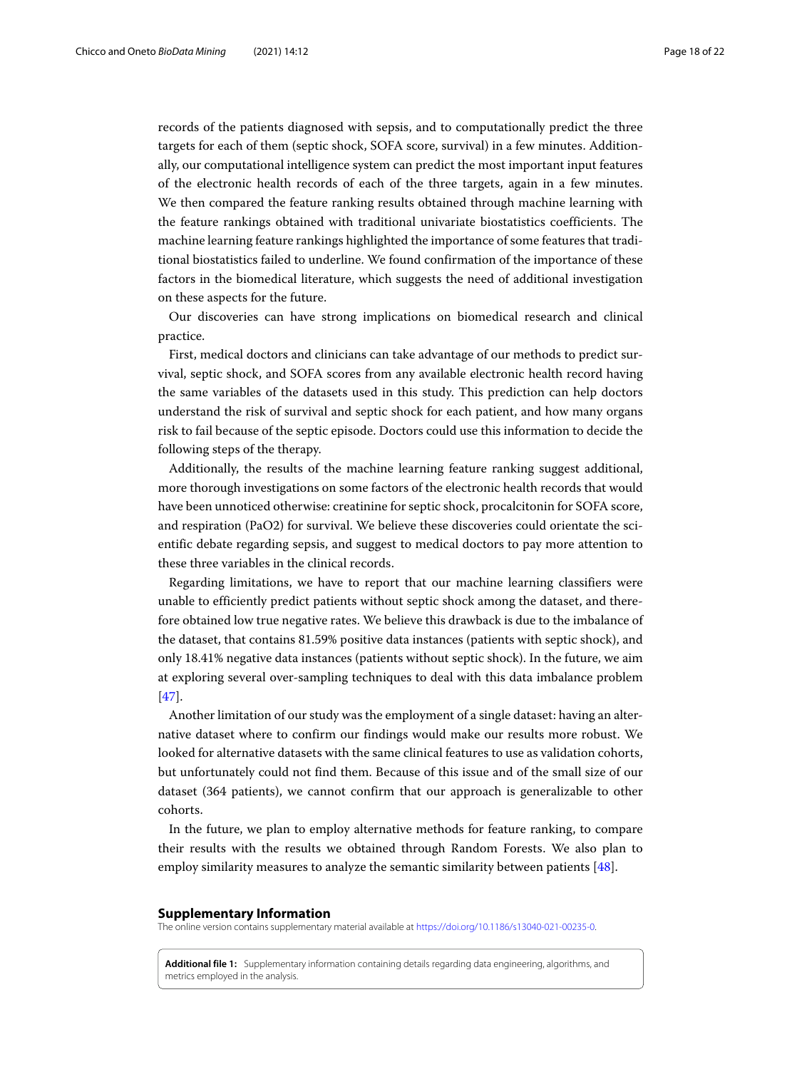records of the patients diagnosed with sepsis, and to computationally predict the three targets for each of them (septic shock, SOFA score, survival) in a few minutes. Additionally, our computational intelligence system can predict the most important input features of the electronic health records of each of the three targets, again in a few minutes. We then compared the feature ranking results obtained through machine learning with the feature rankings obtained with traditional univariate biostatistics coefficients. The machine learning feature rankings highlighted the importance of some features that traditional biostatistics failed to underline. We found confirmation of the importance of these factors in the biomedical literature, which suggests the need of additional investigation on these aspects for the future.

Our discoveries can have strong implications on biomedical research and clinical practice.

First, medical doctors and clinicians can take advantage of our methods to predict survival, septic shock, and SOFA scores from any available electronic health record having the same variables of the datasets used in this study. This prediction can help doctors understand the risk of survival and septic shock for each patient, and how many organs risk to fail because of the septic episode. Doctors could use this information to decide the following steps of the therapy.

Additionally, the results of the machine learning feature ranking suggest additional, more thorough investigations on some factors of the electronic health records that would have been unnoticed otherwise: creatinine for septic shock, procalcitonin for SOFA score, and respiration (PaO2) for survival. We believe these discoveries could orientate the scientific debate regarding sepsis, and suggest to medical doctors to pay more attention to these three variables in the clinical records.

Regarding limitations, we have to report that our machine learning classifiers were unable to efficiently predict patients without septic shock among the dataset, and therefore obtained low true negative rates. We believe this drawback is due to the imbalance of the dataset, that contains 81.59% positive data instances (patients with septic shock), and only 18.41% negative data instances (patients without septic shock). In the future, we aim at exploring several over-sampling techniques to deal with this data imbalance problem [\[47\]](#page-20-5).

Another limitation of our study was the employment of a single dataset: having an alternative dataset where to confirm our findings would make our results more robust. We looked for alternative datasets with the same clinical features to use as validation cohorts, but unfortunately could not find them. Because of this issue and of the small size of our dataset (364 patients), we cannot confirm that our approach is generalizable to other cohorts.

In the future, we plan to employ alternative methods for feature ranking, to compare their results with the results we obtained through Random Forests. We also plan to employ similarity measures to analyze the semantic similarity between patients [\[48\]](#page-20-6).

#### **Supplementary Information**

The online version contains supplementary material available at [https://doi.org/10.1186/s13040-021-00235-0.](https://doi.org/10.1186/s13040-021-00235-0)

<span id="page-17-0"></span>**Additional file 1:** Supplementary information containing details regarding data engineering, algorithms, and metrics employed in the analysis.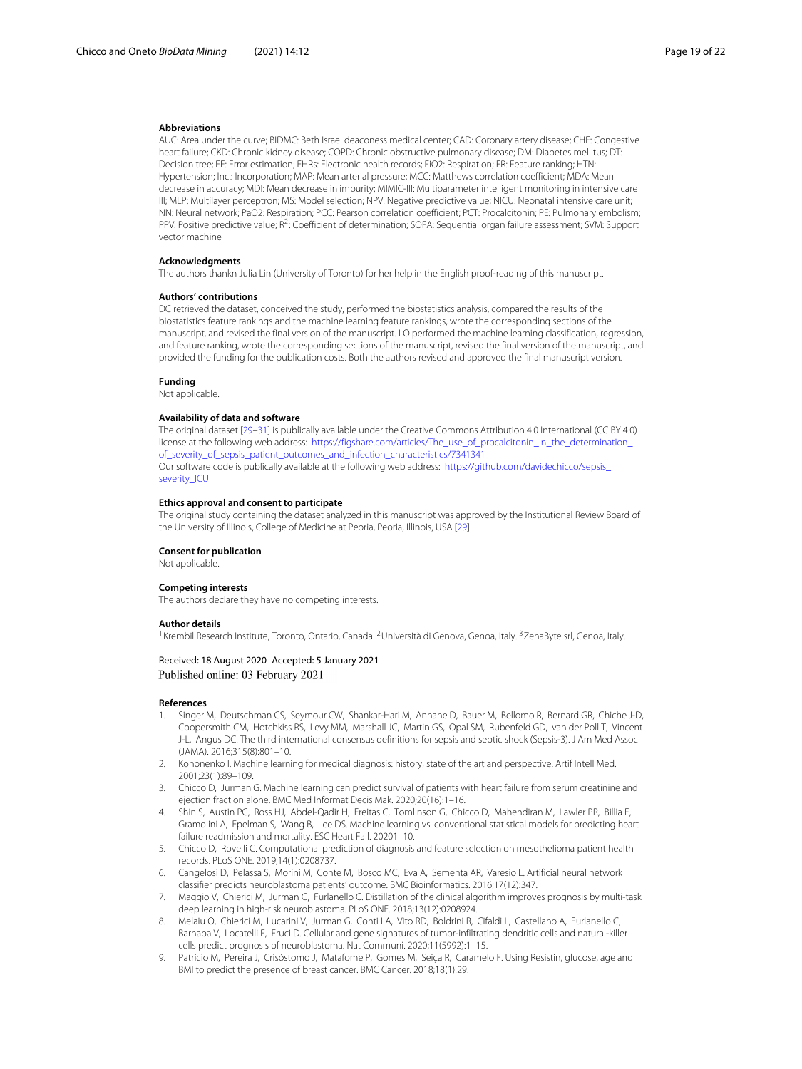#### **Abbreviations**

AUC: Area under the curve; BIDMC: Beth Israel deaconess medical center; CAD: Coronary artery disease; CHF: Congestive heart failure; CKD: Chronic kidney disease; COPD: Chronic obstructive pulmonary disease; DM: Diabetes mellitus; DT: Decision tree; EE: Error estimation; EHRs: Electronic health records; FiO2: Respiration; FR: Feature ranking; HTN: Hypertension; Inc.: Incorporation; MAP: Mean arterial pressure; MCC: Matthews correlation coefficient; MDA: Mean decrease in accuracy; MDI: Mean decrease in impurity; MIMIC-III: Multiparameter intelligent monitoring in intensive care III; MLP: Multilayer perceptron; MS: Model selection; NPV: Negative predictive value; NICU: Neonatal intensive care unit; NN: Neural network; PaO2: Respiration; PCC: Pearson correlation coefficient; PCT: Procalcitonin; PE: Pulmonary embolism; PPV: Positive predictive value; R2: Coefficient of determination; SOFA: Sequential organ failure assessment; SVM: Support vector machine

#### **Acknowledgments**

The authors thankn Julia Lin (University of Toronto) for her help in the English proof-reading of this manuscript.

#### **Authors' contributions**

DC retrieved the dataset, conceived the study, performed the biostatistics analysis, compared the results of the biostatistics feature rankings and the machine learning feature rankings, wrote the corresponding sections of the manuscript, and revised the final version of the manuscript. LO performed the machine learning classification, regression, and feature ranking, wrote the corresponding sections of the manuscript, revised the final version of the manuscript, and provided the funding for the publication costs. Both the authors revised and approved the final manuscript version.

#### **Funding**

Not applicable.

#### **Availability of data and software**

The original dataset [\[29](#page-19-19)[–31\]](#page-19-21) is publically available under the Creative Commons Attribution 4.0 International (CC BY 4.0) license at the following web address: https://figshare.com/articles/The\_use\_of\_procalcitonin\_in\_the\_determination [of\\_severity\\_of\\_sepsis\\_patient\\_outcomes\\_and\\_infection\\_characteristics/7341341](https://figshare.com/articles/The_use_of_procalcitonin_in_the_determination_of_severity_of_sepsis_patient_outcomes_and_infection_characteristics/7341341) Our software code is publically available at the following web address: [https://github.com/davidechicco/sepsis\\_](https://github.com/davidechicco/sepsis_severity_ICU) [severity\\_ICU](https://github.com/davidechicco/sepsis_severity_ICU)

#### **Ethics approval and consent to participate**

The original study containing the dataset analyzed in this manuscript was approved by the Institutional Review Board of the University of Illinois, College of Medicine at Peoria, Peoria, Illinois, USA [\[29\]](#page-19-19).

#### **Consent for publication**

Not applicable.

#### **Competing interests**

The authors declare they have no competing interests.

#### **Author details**

<sup>1</sup> Krembil Research Institute, Toronto, Ontario, Canada. <sup>2</sup>Università di Genova, Genoa, Italy. <sup>3</sup>ZenaByte srl, Genoa, Italy.

#### Received: 18 August 2020 Accepted: 5 January 2021 Published online: 03 February 2021

#### **References**

- <span id="page-18-0"></span>1. Singer M, Deutschman CS, Seymour CW, Shankar-Hari M, Annane D, Bauer M, Bellomo R, Bernard GR, Chiche J-D, Coopersmith CM, Hotchkiss RS, Levy MM, Marshall JC, Martin GS, Opal SM, Rubenfeld GD, van der Poll T, Vincent J-L, Angus DC. The third international consensus definitions for sepsis and septic shock (Sepsis-3). J Am Med Assoc (JAMA). 2016;315(8):801–10.
- <span id="page-18-1"></span>2. Kononenko I. Machine learning for medical diagnosis: history, state of the art and perspective. Artif Intell Med. 2001;23(1):89–109.
- <span id="page-18-2"></span>3. Chicco D, Jurman G. Machine learning can predict survival of patients with heart failure from serum creatinine and ejection fraction alone. BMC Med Informat Decis Mak. 2020;20(16):1–16.
- <span id="page-18-3"></span>4. Shin S, Austin PC, Ross HJ, Abdel-Qadir H, Freitas C, Tomlinson G, Chicco D, Mahendiran M, Lawler PR, Billia F, Gramolini A, Epelman S, Wang B, Lee DS. Machine learning vs. conventional statistical models for predicting heart failure readmission and mortality. ESC Heart Fail. 20201–10.
- <span id="page-18-4"></span>5. Chicco D, Rovelli C. Computational prediction of diagnosis and feature selection on mesothelioma patient health records. PLoS ONE. 2019;14(1):0208737.
- <span id="page-18-5"></span>6. Cangelosi D, Pelassa S, Morini M, Conte M, Bosco MC, Eva A, Sementa AR, Varesio L. Artificial neural network classifier predicts neuroblastoma patients' outcome. BMC Bioinformatics. 2016;17(12):347.
- 7. Maggio V, Chierici M, Jurman G, Furlanello C. Distillation of the clinical algorithm improves prognosis by multi-task deep learning in high-risk neuroblastoma. PLoS ONE. 2018;13(12):0208924.
- <span id="page-18-6"></span>8. Melaiu O, Chierici M, Lucarini V, Jurman G, Conti LA, Vito RD, Boldrini R, Cifaldi L, Castellano A, Furlanello C, Barnaba V, Locatelli F, Fruci D. Cellular and gene signatures of tumor-infiltrating dendritic cells and natural-killer cells predict prognosis of neuroblastoma. Nat Communi. 2020;11(5992):1–15.
- <span id="page-18-7"></span>9. Patrício M, Pereira J, Crisóstomo J, Matafome P, Gomes M, Seiça R, Caramelo F. Using Resistin, glucose, age and BMI to predict the presence of breast cancer. BMC Cancer. 2018;18(1):29.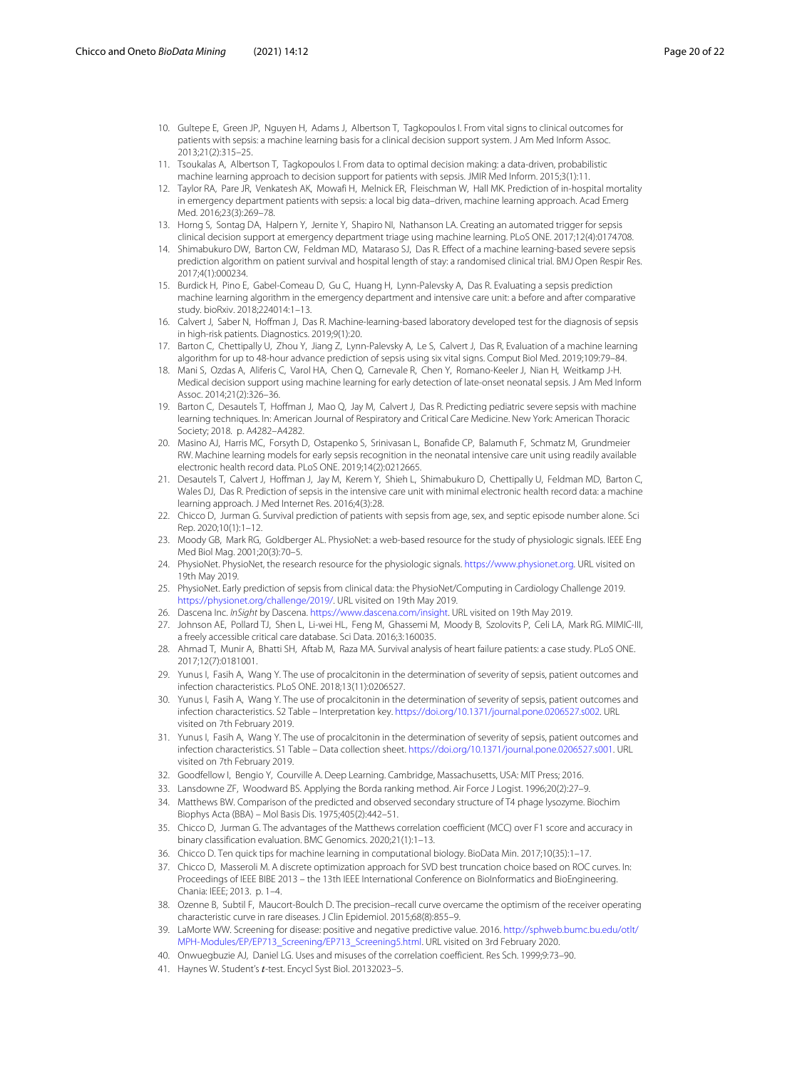- <span id="page-19-0"></span>10. Gultepe E, Green JP, Nguyen H, Adams J, Albertson T, Tagkopoulos I. From vital signs to clinical outcomes for patients with sepsis: a machine learning basis for a clinical decision support system. J Am Med Inform Assoc. 2013;21(2):315–25.
- <span id="page-19-1"></span>11. Tsoukalas A, Albertson T, Tagkopoulos I. From data to optimal decision making: a data-driven, probabilistic machine learning approach to decision support for patients with sepsis. JMIR Med Inform. 2015;3(1):11.
- <span id="page-19-2"></span>12. Taylor RA, Pare JR, Venkatesh AK, Mowafi H, Melnick ER, Fleischman W, Hall MK. Prediction of in-hospital mortality in emergency department patients with sepsis: a local big data–driven, machine learning approach. Acad Emerg Med. 2016;23(3):269–78.
- <span id="page-19-3"></span>13. Horng S, Sontag DA, Halpern Y, Jernite Y, Shapiro NI, Nathanson LA. Creating an automated trigger for sepsis clinical decision support at emergency department triage using machine learning. PLoS ONE. 2017;12(4):0174708.
- <span id="page-19-4"></span>14. Shimabukuro DW, Barton CW, Feldman MD, Mataraso SJ, Das R. Effect of a machine learning-based severe sepsis prediction algorithm on patient survival and hospital length of stay: a randomised clinical trial. BMJ Open Respir Res. 2017;4(1):000234.
- <span id="page-19-5"></span>15. Burdick H, Pino E, Gabel-Comeau D, Gu C, Huang H, Lynn-Palevsky A, Das R. Evaluating a sepsis prediction machine learning algorithm in the emergency department and intensive care unit: a before and after comparative study. bioRxiv. 2018;224014:1–13.
- <span id="page-19-6"></span>16. Calvert J, Saber N, Hoffman J, Das R. Machine-learning-based laboratory developed test for the diagnosis of sepsis in high-risk patients. Diagnostics. 2019;9(1):20.
- <span id="page-19-7"></span>17. Barton C, Chettipally U, Zhou Y, Jiang Z, Lynn-Palevsky A, Le S, Calvert J, Das R, Evaluation of a machine learning algorithm for up to 48-hour advance prediction of sepsis using six vital signs. Comput Biol Med. 2019;109:79–84.
- <span id="page-19-8"></span>18. Mani S, Ozdas A, Aliferis C, Varol HA, Chen Q, Carnevale R, Chen Y, Romano-Keeler J, Nian H, Weitkamp J-H. Medical decision support using machine learning for early detection of late-onset neonatal sepsis. J Am Med Inform Assoc. 2014;21(2):326–36.
- <span id="page-19-9"></span>19. Barton C, Desautels T, Hoffman J, Mao Q, Jay M, Calvert J, Das R. Predicting pediatric severe sepsis with machine learning techniques. In: American Journal of Respiratory and Critical Care Medicine. New York: American Thoracic Society; 2018. p. A4282–A4282.
- <span id="page-19-10"></span>20. Masino AJ, Harris MC, Forsyth D, Ostapenko S, Srinivasan L, Bonafide CP, Balamuth F, Schmatz M, Grundmeier RW. Machine learning models for early sepsis recognition in the neonatal intensive care unit using readily available electronic health record data. PLoS ONE. 2019;14(2):0212665.
- <span id="page-19-11"></span>21. Desautels T, Calvert J, Hoffman J, Jay M, Kerem Y, Shieh L, Shimabukuro D, Chettipally U, Feldman MD, Barton C, Wales DJ, Das R. Prediction of sepsis in the intensive care unit with minimal electronic health record data: a machine learning approach. J Med Internet Res. 2016;4(3):28.
- <span id="page-19-12"></span>22. Chicco D, Jurman G. Survival prediction of patients with sepsis from age, sex, and septic episode number alone. Sci Rep. 2020;10(1):1–12.
- <span id="page-19-13"></span>23. Moody GB, Mark RG, Goldberger AL. PhysioNet: a web-based resource for the study of physiologic signals. IEEE Eng Med Biol Mag. 2001;20(3):70–5.
- <span id="page-19-14"></span>24. PhysioNet. PhysioNet, the research resource for the physiologic signals. [https://www.physionet.org.](https://www.physionet.org) URL visited on 19th May 2019.
- <span id="page-19-15"></span>25. PhysioNet. Early prediction of sepsis from clinical data: the PhysioNet/Computing in Cardiology Challenge 2019. [https://physionet.org/challenge/2019/.](https://physionet.org/challenge/2019/) URL visited on 19th May 2019.
- <span id="page-19-16"></span>26. Dascena Inc. InSight by Dascena. [https://www.dascena.com/insight.](https://www.dascena.com/insight) URL visited on 19th May 2019.
- <span id="page-19-17"></span>27. Johnson AE, Pollard TJ, Shen L, Li-wei HL, Feng M, Ghassemi M, Moody B, Szolovits P, Celi LA, Mark RG. MIMIC-III, a freely accessible critical care database. Sci Data. 2016;3:160035.
- <span id="page-19-18"></span>28. Ahmad T, Munir A, Bhatti SH, Aftab M, Raza MA. Survival analysis of heart failure patients: a case study. PLoS ONE. 2017;12(7):0181001.
- <span id="page-19-19"></span>29. Yunus I, Fasih A, Wang Y. The use of procalcitonin in the determination of severity of sepsis, patient outcomes and infection characteristics. PLoS ONE. 2018;13(11):0206527.
- <span id="page-19-20"></span>30. Yunus I, Fasih A, Wang Y. The use of procalcitonin in the determination of severity of sepsis, patient outcomes and infection characteristics. S2 Table – Interpretation key. [https://doi.org/10.1371/journal.pone.0206527.s002.](https://doi.org/10.1371/journal.pone.0206527.s002) URL visited on 7th February 2019.
- <span id="page-19-21"></span>31. Yunus I, Fasih A, Wang Y. The use of procalcitonin in the determination of severity of sepsis, patient outcomes and infection characteristics. S1 Table – Data collection sheet. [https://doi.org/10.1371/journal.pone.0206527.s001.](https://doi.org/10.1371/journal.pone.0206527.s001) URL visited on 7th February 2019.
- <span id="page-19-22"></span>32. Goodfellow I, Bengio Y, Courville A. Deep Learning. Cambridge, Massachusetts, USA: MIT Press; 2016.
- <span id="page-19-23"></span>33. Lansdowne ZF, Woodward BS. Applying the Borda ranking method. Air Force J Logist. 1996;20(2):27–9.
- <span id="page-19-24"></span>34. Matthews BW. Comparison of the predicted and observed secondary structure of T4 phage lysozyme. Biochim Biophys Acta (BBA) – Mol Basis Dis. 1975;405(2):442–51.
- <span id="page-19-25"></span>35. Chicco D, Jurman G. The advantages of the Matthews correlation coefficient (MCC) over F1 score and accuracy in binary classification evaluation. BMC Genomics. 2020;21(1):1–13.
- <span id="page-19-26"></span>36. Chicco D. Ten quick tips for machine learning in computational biology. BioData Min. 2017;10(35):1–17.
- <span id="page-19-27"></span>37. Chicco D, Masseroli M. A discrete optimization approach for SVD best truncation choice based on ROC curves. In: Proceedings of IEEE BIBE 2013 – the 13th IEEE International Conference on BioInformatics and BioEngineering. Chania: IEEE; 2013. p. 1–4.
- <span id="page-19-28"></span>38. Ozenne B, Subtil F, Maucort-Boulch D. The precision–recall curve overcame the optimism of the receiver operating characteristic curve in rare diseases. J Clin Epidemiol. 2015;68(8):855–9.
- <span id="page-19-29"></span>39. LaMorte WW. Screening for disease: positive and negative predictive value. 2016. [http://sphweb.bumc.bu.edu/otlt/](http://sphweb.bumc.bu.edu/otlt/MPH-Modules/EP/EP713_Screening/EP713_Screening5.html) [MPH-Modules/EP/EP713\\_Screening/EP713\\_Screening5.html.](http://sphweb.bumc.bu.edu/otlt/MPH-Modules/EP/EP713_Screening/EP713_Screening5.html) URL visited on 3rd February 2020.
- <span id="page-19-30"></span>40. Onwuegbuzie AJ, Daniel LG. Uses and misuses of the correlation coefficient. Res Sch. 1999;9:73–90.
- <span id="page-19-31"></span>41. Haynes W. Student's *t*-test. Encycl Syst Biol. 20132023–5.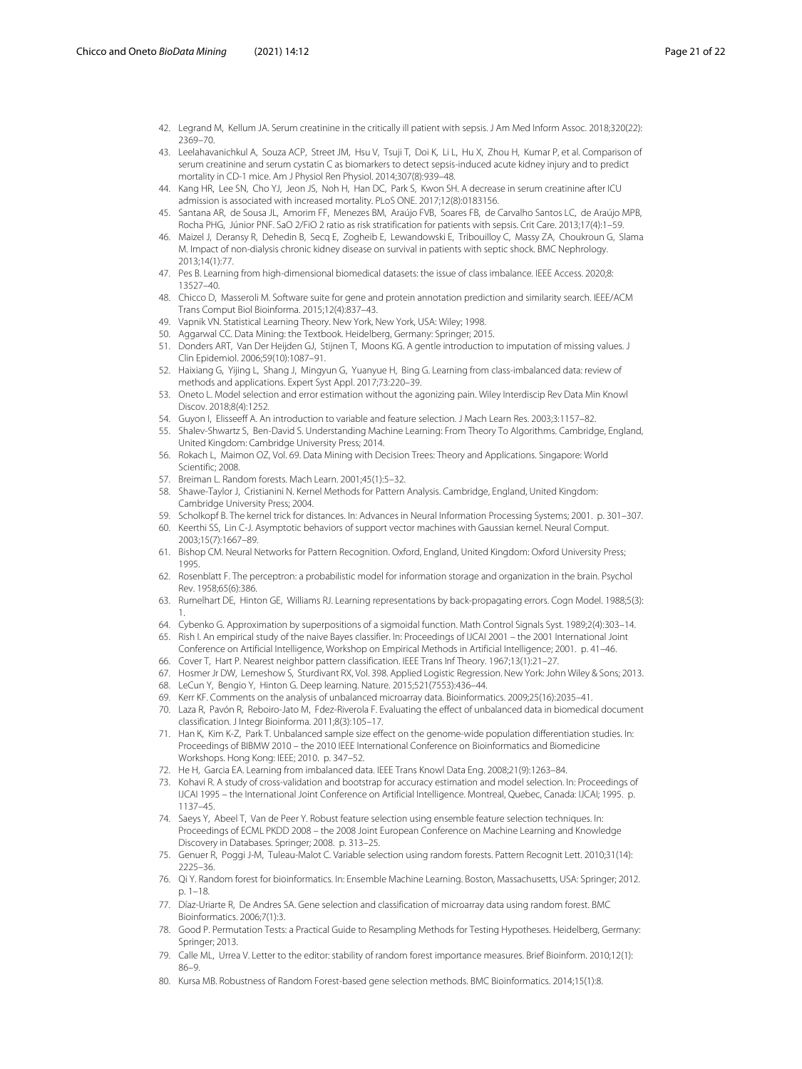- <span id="page-20-0"></span>42. Legrand M, Kellum JA. Serum creatinine in the critically ill patient with sepsis. J Am Med Inform Assoc. 2018;320(22): 2369–70.
- <span id="page-20-1"></span>43. Leelahavanichkul A, Souza ACP, Street JM, Hsu V, Tsuji T, Doi K, Li L, Hu X, Zhou H, Kumar P, et al. Comparison of serum creatinine and serum cystatin C as biomarkers to detect sepsis-induced acute kidney injury and to predict mortality in CD-1 mice. Am J Physiol Ren Physiol. 2014;307(8):939–48.
- <span id="page-20-2"></span>44. Kang HR, Lee SN, Cho YJ, Jeon JS, Noh H, Han DC, Park S, Kwon SH. A decrease in serum creatinine after ICU admission is associated with increased mortality. PLoS ONE. 2017;12(8):0183156.
- <span id="page-20-3"></span>45. Santana AR, de Sousa JL, Amorim FF, Menezes BM, Araújo FVB, Soares FB, de Carvalho Santos LC, de Araújo MPB, Rocha PHG, Júnior PNF. SaO 2/FiO 2 ratio as risk stratification for patients with sepsis. Crit Care. 2013;17(4):1–59.
- <span id="page-20-4"></span>46. Maizel J, Deransy R, Dehedin B, Secq E, Zogheib E, Lewandowski E, Tribouilloy C, Massy ZA, Choukroun G, Slama M. Impact of non-dialysis chronic kidney disease on survival in patients with septic shock. BMC Nephrology. 2013;14(1):77.
- <span id="page-20-5"></span>47. Pes B. Learning from high-dimensional biomedical datasets: the issue of class imbalance. IEEE Access. 2020;8: 13527–40.
- <span id="page-20-6"></span>48. Chicco D, Masseroli M. Software suite for gene and protein annotation prediction and similarity search. IEEE/ACM Trans Comput Biol Bioinforma. 2015;12(4):837–43.
- 49. Vapnik VN. Statistical Learning Theory. New York, New York, USA: Wiley; 1998.
- 50. Aggarwal CC. Data Mining: the Textbook. Heidelberg, Germany: Springer; 2015.
- 51. Donders ART, Van Der Heijden GJ, Stijnen T, Moons KG. A gentle introduction to imputation of missing values. J Clin Epidemiol. 2006;59(10):1087–91.
- 52. Haixiang G, Yijing L, Shang J, Mingyun G, Yuanyue H, Bing G. Learning from class-imbalanced data: review of methods and applications. Expert Syst Appl. 2017;73:220–39.
- 53. Oneto L. Model selection and error estimation without the agonizing pain. Wiley Interdiscip Rev Data Min Knowl Discov. 2018;8(4):1252.
- 54. Guyon I, Elisseeff A. An introduction to variable and feature selection. J Mach Learn Res. 2003;3:1157–82.
- 55. Shalev-Shwartz S, Ben-David S. Understanding Machine Learning: From Theory To Algorithms. Cambridge, England, United Kingdom: Cambridge University Press; 2014.
- 56. Rokach L, Maimon OZ, Vol. 69. Data Mining with Decision Trees: Theory and Applications. Singapore: World Scientific; 2008.
- 57. Breiman L. Random forests. Mach Learn. 2001;45(1):5–32.
- 58. Shawe-Taylor J, Cristianini N. Kernel Methods for Pattern Analysis. Cambridge, England, United Kingdom: Cambridge University Press; 2004.
- 59. Scholkopf B. The kernel trick for distances. In: Advances in Neural Information Processing Systems; 2001. p. 301–307.
- 60. Keerthi SS, Lin C-J. Asymptotic behaviors of support vector machines with Gaussian kernel. Neural Comput. 2003;15(7):1667–89.
- 61. Bishop CM. Neural Networks for Pattern Recognition. Oxford, England, United Kingdom: Oxford University Press; 1995.
- 62. Rosenblatt F. The perceptron: a probabilistic model for information storage and organization in the brain. Psychol Rev. 1958;65(6):386.
- 63. Rumelhart DE, Hinton GE, Williams RJ. Learning representations by back-propagating errors. Cogn Model. 1988;5(3): 1.
- 64. Cybenko G. Approximation by superpositions of a sigmoidal function. Math Control Signals Syst. 1989;2(4):303–14.
- 65. Rish I. An empirical study of the naive Bayes classifier. In: Proceedings of IJCAI 2001 the 2001 International Joint
- Conference on Artificial Intelligence, Workshop on Empirical Methods in Artificial Intelligence; 2001. p. 41–46. 66. Cover T, Hart P. Nearest neighbor pattern classification. IEEE Trans Inf Theory. 1967;13(1):21–27.
- 67. Hosmer Jr DW, Lemeshow S, Sturdivant RX, Vol. 398. Applied Logistic Regression. New York: John Wiley & Sons; 2013.
- 68. LeCun Y, Bengio Y, Hinton G. Deep learning. Nature. 2015;521(7553):436–44.
- 69. Kerr KF. Comments on the analysis of unbalanced microarray data. Bioinformatics. 2009;25(16):2035–41.
- 70. Laza R, Pavón R, Reboiro-Jato M, Fdez-Riverola F. Evaluating the effect of unbalanced data in biomedical document classification. J Integr Bioinforma. 2011;8(3):105–17.
- 71. Han K, Kim K-Z, Park T. Unbalanced sample size effect on the genome-wide population differentiation studies. In: Proceedings of BIBMW 2010 – the 2010 IEEE International Conference on Bioinformatics and Biomedicine Workshops. Hong Kong: IEEE; 2010. p. 347–52.
- 72. He H, Garcia EA. Learning from imbalanced data. IEEE Trans Knowl Data Eng. 2008;21(9):1263–84.
- 73. Kohavi R. A study of cross-validation and bootstrap for accuracy estimation and model selection. In: Proceedings of IJCAI 1995 – the International Joint Conference on Artificial Intelligence. Montreal, Quebec, Canada: IJCAI; 1995. p. 1137–45.
- 74. Saeys Y, Abeel T, Van de Peer Y. Robust feature selection using ensemble feature selection techniques. In: Proceedings of ECML PKDD 2008 – the 2008 Joint European Conference on Machine Learning and Knowledge Discovery in Databases. Springer; 2008. p. 313–25.
- 75. Genuer R, Poggi J-M, Tuleau-Malot C. Variable selection using random forests. Pattern Recognit Lett. 2010;31(14): 2225–36.
- 76. Qi Y. Random forest for bioinformatics. In: Ensemble Machine Learning. Boston, Massachusetts, USA: Springer; 2012. p. 1–18.
- 77. Díaz-Uriarte R, De Andres SA. Gene selection and classification of microarray data using random forest. BMC Bioinformatics. 2006;7(1):3.
- 78. Good P. Permutation Tests: a Practical Guide to Resampling Methods for Testing Hypotheses. Heidelberg, Germany: Springer; 2013.
- 79. Calle ML, Urrea V. Letter to the editor: stability of random forest importance measures. Brief Bioinform. 2010;12(1): 86–9.
- 80. Kursa MB. Robustness of Random Forest-based gene selection methods. BMC Bioinformatics. 2014;15(1):8.